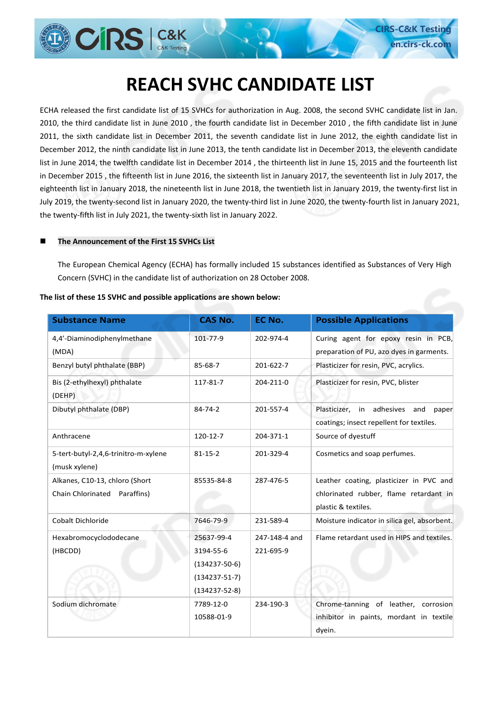# **REACH SVHC CANDIDATE LIST**

**CIRS-C&K Test en.cirs-ck.c** 

ECHA released the first candidate list of 15 SVHCs for authorization in Aug. 2008, the second SVHC candidate list in Jan. 2010, the third candidate list in June 2010 , the fourth candidate list in December 2010 , the fifth candidate list in June 2011, the sixth candidate list in December 2011, the seventh candidate list in June 2012, the eighth candidate list in December 2012, the ninth candidate list in June 2013, the tenth candidate list in December 2013, the eleventh candidate list in June 2014, the twelfth candidate list in December 2014 , the thirteenth list in June 15, 2015 and the fourteenth list in December 2015 , the fifteenth list in June 2016, the sixteenth list in January 2017, the seventeenth list in July 2017, the eighteenth list in January 2018, the nineteenth list in June 2018, the twentieth list in January 2019, the twenty-first list in July 2019, the twenty-second list in January 2020, the twenty-third list in June 2020, the twenty-fourth list in January 2021, the twenty-fifth list in July 2021, the twenty-sixth list in January 2022.

#### ■ The Announcement of the First 15 SVHCs List

**CIRS** | C&K

The European Chemical Agency (ECHA) has formally included 15 substances identified as Substances of Very High Concern (SVHC) in the candidate list of authorization on 28 October 2008.

| <b>Substance Name</b>                                          | <b>CAS No.</b>                                                                               | EC No.                     | <b>Possible Applications</b>                                                                             |
|----------------------------------------------------------------|----------------------------------------------------------------------------------------------|----------------------------|----------------------------------------------------------------------------------------------------------|
| 4,4'-Diaminodiphenylmethane<br>(MDA)                           | 101-77-9                                                                                     | 202-974-4                  | Curing agent for epoxy resin in PCB,<br>preparation of PU, azo dyes in garments.                         |
| Benzyl butyl phthalate (BBP)                                   | 85-68-7                                                                                      | 201-622-7                  | Plasticizer for resin, PVC, acrylics.                                                                    |
| Bis (2-ethylhexyl) phthalate<br>(DEHP)                         | 117-81-7                                                                                     | 204-211-0                  | Plasticizer for resin, PVC, blister                                                                      |
| Dibutyl phthalate (DBP)                                        | $84 - 74 - 2$                                                                                | 201-557-4                  | Plasticizer,<br>in adhesives<br>and<br>paper<br>coatings; insect repellent for textiles.                 |
| Anthracene                                                     | 120-12-7                                                                                     | 204-371-1                  | Source of dyestuff                                                                                       |
| 5-tert-butyl-2,4,6-trinitro-m-xylene<br>(musk xylene)          | $81 - 15 - 2$                                                                                | 201-329-4                  | Cosmetics and soap perfumes.                                                                             |
| Alkanes, C10-13, chloro (Short<br>Chain Chlorinated Paraffins) | 85535-84-8                                                                                   | 287-476-5                  | Leather coating, plasticizer in PVC and<br>chlorinated rubber, flame retardant in<br>plastic & textiles. |
| Cobalt Dichloride                                              | 7646-79-9                                                                                    | 231-589-4                  | Moisture indicator in silica gel, absorbent.                                                             |
| Hexabromocyclododecane<br>(HBCDD)                              | 25637-99-4<br>3194-55-6<br>$(134237 - 50 - 6)$<br>$(134237 - 51 - 7)$<br>$(134237 - 52 - 8)$ | 247-148-4 and<br>221-695-9 | Flame retardant used in HIPS and textiles.                                                               |
| Sodium dichromate                                              | 7789-12-0<br>10588-01-9                                                                      | 234-190-3                  | Chrome-tanning of leather, corrosion<br>inhibitor in paints, mordant in textile<br>dyein.                |

#### **The list of these 15 SVHC and possible applications are shown below:**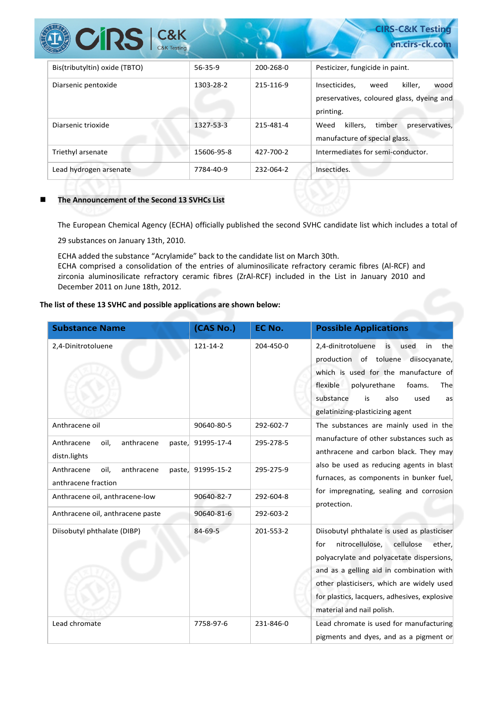| <b>CIRS</b> C&K               |            |           | <b>CIRS-C&amp;K Testing</b><br>en.cirs-ck.com                                                      |
|-------------------------------|------------|-----------|----------------------------------------------------------------------------------------------------|
| Bis(tributyltin) oxide (TBTO) | 56-35-9    | 200-268-0 | Pesticizer, fungicide in paint.                                                                    |
| Diarsenic pentoxide           | 1303-28-2  | 215-116-9 | killer.<br>Insecticides.<br>weed<br>wood<br>preservatives, coloured glass, dyeing and<br>printing. |
| Diarsenic trioxide            | 1327-53-3  | 215-481-4 | killers,<br>timber<br>preservatives,<br>Weed<br>manufacture of special glass.                      |
| Triethyl arsenate             | 15606-95-8 | 427-700-2 | Intermediates for semi-conductor.                                                                  |
| Lead hydrogen arsenate        | 7784-40-9  | 232-064-2 | Insectides.                                                                                        |

#### ■ The Announcement of the Second 13 SVHCs List

The European Chemical Agency (ECHA) officially published the second SVHC candidate list which includes a total of

29 substances on January 13th, 2010.

ECHA added the substance "Acrylamide" back to the candidate list on March 30th. ECHA comprised a consolidation of the entries of aluminosilicate refractory ceramic fibres (Al-RCF) and zirconia aluminosilicate refractory ceramic fibres (ZrAl-RCF) included in the List in January 2010 and December 2011 on June 18th, 2012.

#### **The list of these 13 SVHC and possible applications are shown below:**

| <b>Substance Name</b>                                      | (CAS No.)         | EC No.    | <b>Possible Applications</b>                                                                                                                                                                                                                                                                                    |
|------------------------------------------------------------|-------------------|-----------|-----------------------------------------------------------------------------------------------------------------------------------------------------------------------------------------------------------------------------------------------------------------------------------------------------------------|
| 2,4-Dinitrotoluene                                         | 121-14-2          | 204-450-0 | 2,4-dinitrotoluene<br>is<br>used<br>in<br>the<br>production of toluene diisocyanate,<br>which is used for the manufacture of<br>flexible<br>polyurethane<br>foams.<br>The<br>substance<br>also<br>is<br>used<br>as<br>gelatinizing-plasticizing agent                                                           |
| Anthracene oil                                             | 90640-80-5        | 292-602-7 | The substances are mainly used in the                                                                                                                                                                                                                                                                           |
| Anthracene<br>oil,<br>anthracene<br>paste,<br>distn.lights | 91995-17-4        | 295-278-5 | manufacture of other substances such as<br>anthracene and carbon black. They may                                                                                                                                                                                                                                |
| Anthracene<br>oil,<br>anthracene<br>anthracene fraction    | paste, 91995-15-2 | 295-275-9 | also be used as reducing agents in blast<br>furnaces, as components in bunker fuel,                                                                                                                                                                                                                             |
| Anthracene oil, anthracene-low                             | 90640-82-7        | 292-604-8 | for impregnating, sealing and corrosion<br>protection.                                                                                                                                                                                                                                                          |
| Anthracene oil, anthracene paste                           | 90640-81-6        | 292-603-2 |                                                                                                                                                                                                                                                                                                                 |
| Diisobutyl phthalate (DIBP)                                | 84-69-5           | 201-553-2 | Diisobutyl phthalate is used as plasticiser<br>nitrocellulose,<br>cellulose<br>for<br>ether.<br>polyacrylate and polyacetate dispersions,<br>and as a gelling aid in combination with<br>other plasticisers, which are widely used<br>for plastics, lacquers, adhesives, explosive<br>material and nail polish. |
| Lead chromate                                              | 7758-97-6         | 231-846-0 | Lead chromate is used for manufacturing<br>pigments and dyes, and as a pigment or                                                                                                                                                                                                                               |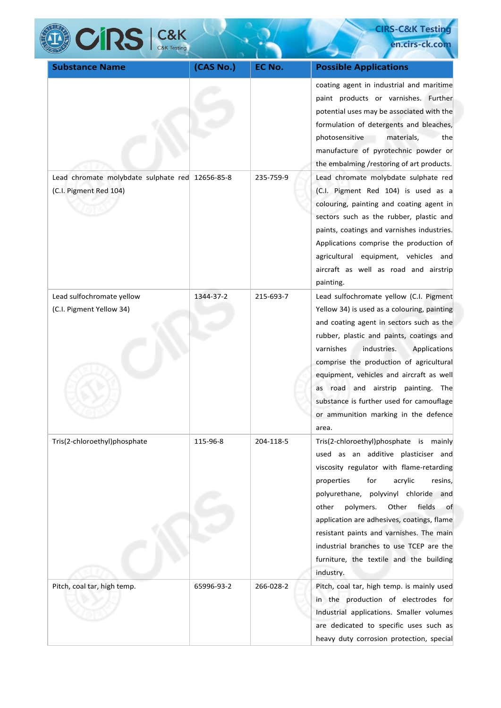| <b>CRS</b> C&K                                                            |            |           | <b>CIRS-C&amp;K Testing</b>                                                                                                                                                                                                                                                                                                                                                                                                                              |  |
|---------------------------------------------------------------------------|------------|-----------|----------------------------------------------------------------------------------------------------------------------------------------------------------------------------------------------------------------------------------------------------------------------------------------------------------------------------------------------------------------------------------------------------------------------------------------------------------|--|
|                                                                           |            |           | en.cirs-ck.com                                                                                                                                                                                                                                                                                                                                                                                                                                           |  |
| <b>Substance Name</b>                                                     | (CAS No.)  | EC No.    | <b>Possible Applications</b>                                                                                                                                                                                                                                                                                                                                                                                                                             |  |
|                                                                           |            |           | coating agent in industrial and maritime<br>paint products or varnishes. Further<br>potential uses may be associated with the<br>formulation of detergents and bleaches,<br>photosensitive<br>materials,<br>thel<br>manufacture of pyrotechnic powder or<br>the embalming /restoring of art products.                                                                                                                                                    |  |
| Lead chromate molybdate sulphate red 12656-85-8<br>(C.I. Pigment Red 104) |            | 235-759-9 | Lead chromate molybdate sulphate red<br>(C.I. Pigment Red 104) is used as a<br>colouring, painting and coating agent in<br>sectors such as the rubber, plastic and<br>paints, coatings and varnishes industries.<br>Applications comprise the production of<br>agricultural equipment, vehicles and<br>aircraft as well as road and airstrip<br>painting.                                                                                                |  |
| Lead sulfochromate yellow<br>(C.I. Pigment Yellow 34)                     | 1344-37-2  | 215-693-7 | Lead sulfochromate yellow (C.I. Pigment<br>Yellow 34) is used as a colouring, painting<br>and coating agent in sectors such as the<br>rubber, plastic and paints, coatings and<br>varnishes<br>industries.<br>Applications<br>comprise the production of agricultural<br>equipment, vehicles and aircraft as well<br>as road and airstrip painting. The<br>substance is further used for camouflage<br>or ammunition marking in the defence<br>area.     |  |
| Tris(2-chloroethyl)phosphate                                              | 115-96-8   | 204-118-5 | Tris(2-chloroethyl)phosphate is mainly<br>used as an additive plasticiser and<br>viscosity regulator with flame-retarding<br>for<br>properties<br>acrylic<br>resins,<br>polyurethane, polyvinyl chloride and<br>polymers.<br>fields<br>other<br>Other<br>of<br>application are adhesives, coatings, flame<br>resistant paints and varnishes. The main<br>industrial branches to use TCEP are the<br>furniture, the textile and the building<br>industry. |  |
| Pitch, coal tar, high temp.                                               | 65996-93-2 | 266-028-2 | Pitch, coal tar, high temp. is mainly used<br>in the production of electrodes for<br>Industrial applications. Smaller volumes<br>are dedicated to specific uses such as<br>heavy duty corrosion protection, special                                                                                                                                                                                                                                      |  |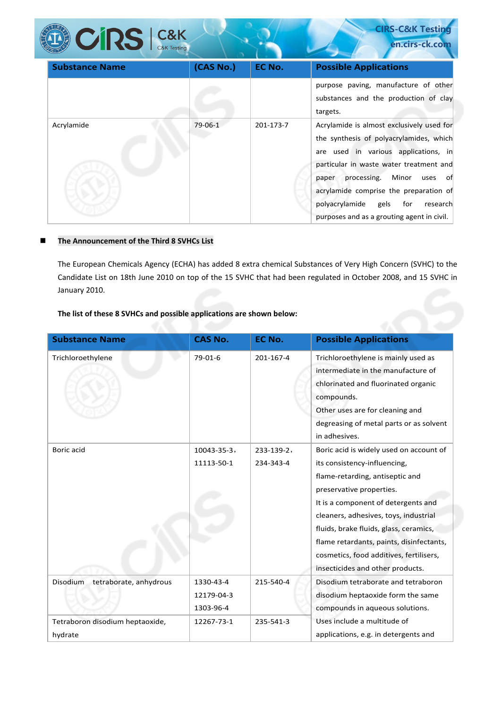| $CORS$ $Cak$ K        |           |           | <b>CIRS-C&amp;K Testing</b><br>en.cirs-ck.com                                                                                                                                                                                                                                                                                                   |
|-----------------------|-----------|-----------|-------------------------------------------------------------------------------------------------------------------------------------------------------------------------------------------------------------------------------------------------------------------------------------------------------------------------------------------------|
| <b>Substance Name</b> | (CAS No.) | EC No.    | <b>Possible Applications</b>                                                                                                                                                                                                                                                                                                                    |
|                       |           |           | purpose paving, manufacture of other<br>substances and the production of clay<br>targets.                                                                                                                                                                                                                                                       |
| Acrylamide            | 79-06-1   | 201-173-7 | Acrylamide is almost exclusively used for<br>the synthesis of polyacrylamides, which<br>are used in various applications, in<br>particular in waste water treatment and<br>processing. Minor uses of<br>paper<br>acrylamide comprise the preparation of<br>polyacrylamide<br>gels for<br>research<br>purposes and as a grouting agent in civil. |

#### **The Announcement of the Third 8 SVHCs List**

The European Chemicals Agency (ECHA) has added 8 extra chemical Substances of Very High Concern (SVHC) to the Candidate List on 18th June 2010 on top of the 15 SVHC that had been regulated in October 2008, and 15 SVHC in January 2010.

## **The list of these 8 SVHCs and possible applications are shown below:**

| <b>Substance Name</b>                      | <b>CAS No.</b>                       | <b>EC No.</b>           | <b>Possible Applications</b>                                                                                                                                                                                                                                                                                                                                                                |
|--------------------------------------------|--------------------------------------|-------------------------|---------------------------------------------------------------------------------------------------------------------------------------------------------------------------------------------------------------------------------------------------------------------------------------------------------------------------------------------------------------------------------------------|
| Trichloroethylene                          | 79-01-6                              | 201-167-4               | Trichloroethylene is mainly used as<br>intermediate in the manufacture of<br>chlorinated and fluorinated organic<br>compounds.<br>Other uses are for cleaning and<br>degreasing of metal parts or as solvent<br>in adhesives.                                                                                                                                                               |
| Boric acid                                 | $10043 - 35 - 3,$<br>11113-50-1      | 233-139-2,<br>234-343-4 | Boric acid is widely used on account of<br>its consistency-influencing,<br>flame-retarding, antiseptic and<br>preservative properties.<br>It is a component of detergents and<br>cleaners, adhesives, toys, industrial<br>fluids, brake fluids, glass, ceramics,<br>flame retardants, paints, disinfectants,<br>cosmetics, food additives, fertilisers,<br>insecticides and other products. |
| Disodium<br>tetraborate, anhydrous         | 1330-43-4<br>12179-04-3<br>1303-96-4 | 215-540-4               | Disodium tetraborate and tetraboron<br>disodium heptaoxide form the same<br>compounds in aqueous solutions.                                                                                                                                                                                                                                                                                 |
| Tetraboron disodium heptaoxide,<br>hydrate | 12267-73-1                           | 235-541-3               | Uses include a multitude of<br>applications, e.g. in detergents and                                                                                                                                                                                                                                                                                                                         |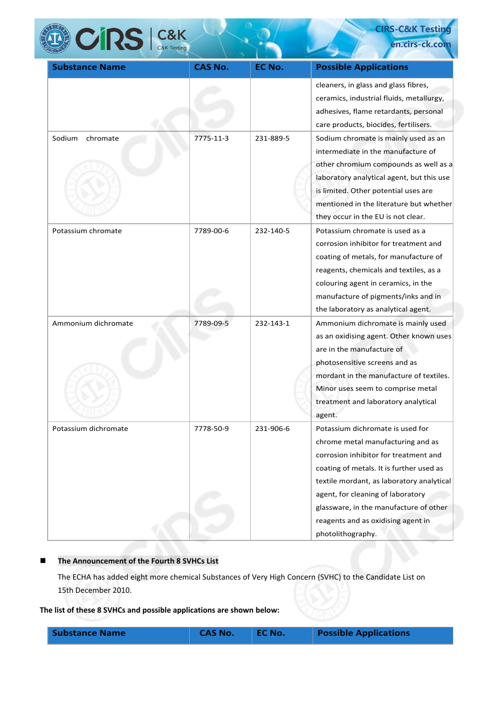

**CIRS-C&K Testing en.cirs-ck.co** 

| <b>Substance Name</b> | <b>CAS No.</b> | <b>EC No.</b> | <b>Possible Applications</b>              |
|-----------------------|----------------|---------------|-------------------------------------------|
|                       |                |               | cleaners, in glass and glass fibres,      |
|                       |                |               | ceramics, industrial fluids, metallurgy,  |
|                       |                |               | adhesives, flame retardants, personal     |
|                       |                |               | care products, biocides, fertilisers.     |
| Sodium<br>chromate    | 7775-11-3      | 231-889-5     | Sodium chromate is mainly used as an      |
|                       |                |               | intermediate in the manufacture of        |
|                       |                |               | other chromium compounds as well as a     |
|                       |                |               | laboratory analytical agent, but this use |
|                       |                |               | is limited. Other potential uses are      |
|                       |                |               | mentioned in the literature but whether   |
|                       |                |               | they occur in the EU is not clear.        |
| Potassium chromate    | 7789-00-6      | 232-140-5     | Potassium chromate is used as a           |
|                       |                |               | corrosion inhibitor for treatment and     |
|                       |                |               | coating of metals, for manufacture of     |
|                       |                |               | reagents, chemicals and textiles, as a    |
|                       |                |               | colouring agent in ceramics, in the       |
|                       |                |               | manufacture of pigments/inks and in       |
|                       |                |               | the laboratory as analytical agent.       |
| Ammonium dichromate   | 7789-09-5      | 232-143-1     | Ammonium dichromate is mainly used        |
|                       |                |               | as an oxidising agent. Other known uses   |
|                       |                |               | are in the manufacture of                 |
|                       |                |               | photosensitive screens and as             |
|                       |                |               | mordant in the manufacture of textiles.   |
|                       |                |               | Minor uses seem to comprise metal         |
|                       |                |               | treatment and laboratory analytical       |
|                       |                |               | agent.                                    |
| Potassium dichromate  | 7778-50-9      | 231-906-6     | Potassium dichromate is used for          |
|                       |                |               | chrome metal manufacturing and as         |
|                       |                |               | corrosion inhibitor for treatment and     |
|                       |                |               | coating of metals. It is further used as  |
|                       |                |               | textile mordant, as laboratory analytical |
|                       |                |               | agent, for cleaning of laboratory         |
|                       |                |               | glassware, in the manufacture of other    |
|                       |                |               | reagents and as oxidising agent in        |
|                       |                |               | photolithography.                         |

## **The Announcement of the Fourth 8 SVHCs List**

The ECHA has added eight more chemical Substances of Very High Concern (SVHC) to the Candidate List on 15th December 2010.

**The list of these 8 SVHCs and possible applications are shown below:** 

| <b>Substance Name</b> | <b>CAS No.</b> | <b>NEC No.</b> | <b>Possible Applications</b> |
|-----------------------|----------------|----------------|------------------------------|
|                       |                |                |                              |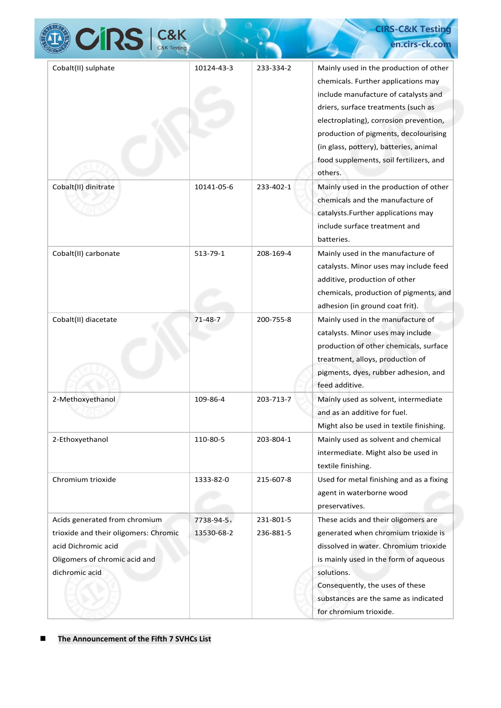|                                                                                                                                                  |                          |                        | <b>CIRS-C&amp;K Testing</b>                                                                                                                                                                                                                                                                                                                     |
|--------------------------------------------------------------------------------------------------------------------------------------------------|--------------------------|------------------------|-------------------------------------------------------------------------------------------------------------------------------------------------------------------------------------------------------------------------------------------------------------------------------------------------------------------------------------------------|
| <b>CIRS</b> C&K                                                                                                                                  |                          |                        | en.cirs-ck.com                                                                                                                                                                                                                                                                                                                                  |
| Cobalt(II) sulphate                                                                                                                              | 10124-43-3               | 233-334-2              | Mainly used in the production of other<br>chemicals. Further applications may<br>include manufacture of catalysts and<br>driers, surface treatments (such as<br>electroplating), corrosion prevention,<br>production of pigments, decolourising<br>(in glass, pottery), batteries, animal<br>food supplements, soil fertilizers, and<br>others. |
| Cobalt(II) dinitrate                                                                                                                             | 10141-05-6               | 233-402-1              | Mainly used in the production of other<br>chemicals and the manufacture of<br>catalysts. Further applications may<br>include surface treatment and<br>batteries.                                                                                                                                                                                |
| Cobalt(II) carbonate                                                                                                                             | 513-79-1                 | 208-169-4              | Mainly used in the manufacture of<br>catalysts. Minor uses may include feed<br>additive, production of other<br>chemicals, production of pigments, and<br>adhesion (in ground coat frit).                                                                                                                                                       |
| Cobalt(II) diacetate                                                                                                                             | $71 - 48 - 7$            | 200-755-8              | Mainly used in the manufacture of<br>catalysts. Minor uses may include<br>production of other chemicals, surface<br>treatment, alloys, production of<br>pigments, dyes, rubber adhesion, and<br>feed additive.                                                                                                                                  |
| 2-Methoxyethanol                                                                                                                                 | 109-86-4                 | 203-713-7              | Mainly used as solvent, intermediate<br>and as an additive for fuel.<br>Might also be used in textile finishing.                                                                                                                                                                                                                                |
| 2-Ethoxyethanol                                                                                                                                  | 110-80-5                 | 203-804-1              | Mainly used as solvent and chemical<br>intermediate. Might also be used in<br>textile finishing.                                                                                                                                                                                                                                                |
| Chromium trioxide                                                                                                                                | 1333-82-0                | 215-607-8              | Used for metal finishing and as a fixing<br>agent in waterborne wood<br>preservatives.                                                                                                                                                                                                                                                          |
| Acids generated from chromium<br>trioxide and their oligomers: Chromic<br>acid Dichromic acid<br>Oligomers of chromic acid and<br>dichromic acid | 7738-94-5,<br>13530-68-2 | 231-801-5<br>236-881-5 | These acids and their oligomers are<br>generated when chromium trioxide is<br>dissolved in water. Chromium trioxide<br>is mainly used in the form of aqueous<br>solutions.<br>Consequently, the uses of these<br>substances are the same as indicated<br>for chromium trioxide.                                                                 |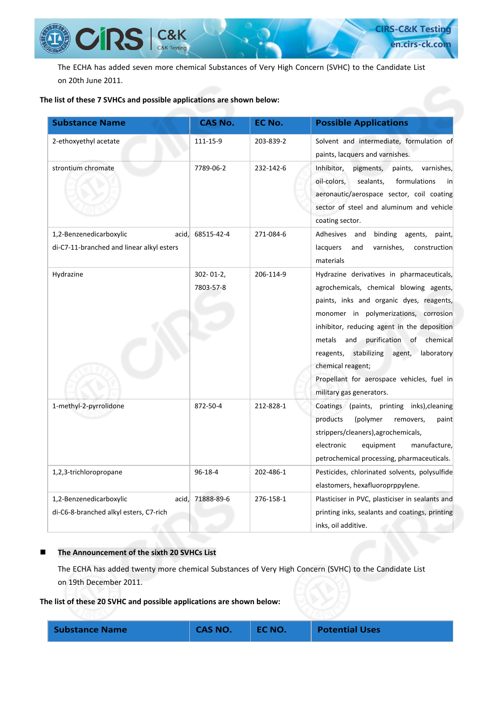

The ECHA has added seven more chemical Substances of Very High Concern (SVHC) to the Candidate List on 20th June 2011.

#### **The list of these 7 SVHCs and possible applications are shown below:**

| <b>Substance Name</b>                                                         | <b>CAS No.</b>              | EC No.    | <b>Possible Applications</b>                                                                                                                                                                                                                                                                                                                                                                                       |
|-------------------------------------------------------------------------------|-----------------------------|-----------|--------------------------------------------------------------------------------------------------------------------------------------------------------------------------------------------------------------------------------------------------------------------------------------------------------------------------------------------------------------------------------------------------------------------|
| 2-ethoxyethyl acetate                                                         | 111-15-9                    | 203-839-2 | Solvent and intermediate, formulation of<br>paints, lacquers and varnishes.                                                                                                                                                                                                                                                                                                                                        |
| strontium chromate                                                            | 7789-06-2                   | 232-142-6 | Inhibitor,<br>pigments,<br>paints,<br>varnishes,<br>oil-colors,<br>sealants,<br>formulations<br>in<br>aeronautic/aerospace sector, coil coating<br>sector of steel and aluminum and vehicle<br>coating sector.                                                                                                                                                                                                     |
| 1,2-Benzenedicarboxylic<br>acid,<br>di-C7-11-branched and linear alkyl esters | 68515-42-4                  | 271-084-6 | Adhesives<br>binding agents,<br>and<br>paint,<br>varnishes,<br>lacquers<br>and<br>construction<br>materials                                                                                                                                                                                                                                                                                                        |
| Hydrazine                                                                     | $302 - 01 - 2$<br>7803-57-8 | 206-114-9 | Hydrazine derivatives in pharmaceuticals,<br>agrochemicals, chemical blowing agents,<br>paints, inks and organic dyes, reagents,<br>monomer in polymerizations, corrosion<br>inhibitor, reducing agent in the deposition<br>and purification of chemical<br>metals<br>reagents, stabilizing<br>laboratory<br>agent,<br>chemical reagent;<br>Propellant for aerospace vehicles, fuel in<br>military gas generators. |
| 1-methyl-2-pyrrolidone                                                        | 872-50-4                    | 212-828-1 | Coatings (paints, printing inks), cleaning<br>products<br>(polymer<br>removers,<br>paint<br>strippers/cleaners), agrochemicals,<br>electronic<br>equipment<br>manufacture,<br>petrochemical processing, pharmaceuticals.                                                                                                                                                                                           |
| 1,2,3-trichloropropane                                                        | 96-18-4                     | 202-486-1 | Pesticides, chlorinated solvents, polysulfide<br>elastomers, hexafluoroprppylene.                                                                                                                                                                                                                                                                                                                                  |
| 1,2-Benzenedicarboxylic<br>acid,<br>di-C6-8-branched alkyl esters, C7-rich    | 71888-89-6                  | 276-158-1 | Plasticiser in PVC, plasticiser in sealants and<br>printing inks, sealants and coatings, printing<br>inks, oil additive.                                                                                                                                                                                                                                                                                           |

#### ■ The Announcement of the sixth 20 SVHCs List

The ECHA has added twenty more chemical Substances of Very High Concern (SVHC) to the Candidate List on 19th December 2011.

**The list of these 20 SVHC and possible applications are shown below:** 

| <b>Substance Name</b> | <b>CAS NO.</b> | <b>EC NO.</b> | <b>Potential Uses</b> |
|-----------------------|----------------|---------------|-----------------------|
|                       |                |               |                       |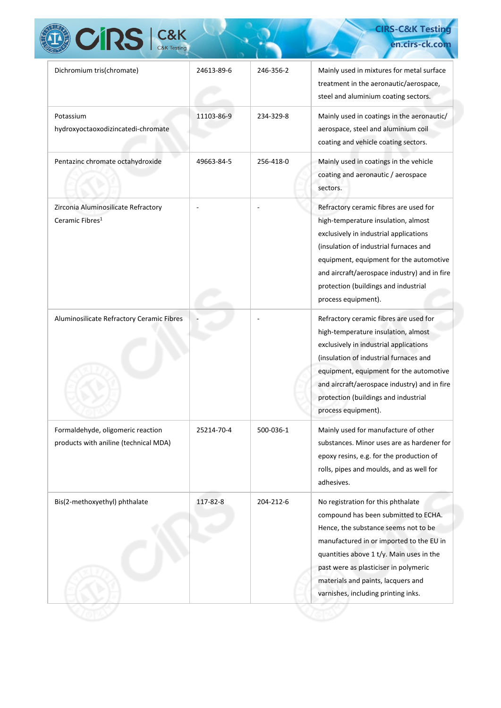| <b>CRS</b> C&K                                                             |            |           | <b>CIRS-C&amp;K Testing</b><br>en.cirs-ck.com                                                                                                                                                                                                                                                                                    |
|----------------------------------------------------------------------------|------------|-----------|----------------------------------------------------------------------------------------------------------------------------------------------------------------------------------------------------------------------------------------------------------------------------------------------------------------------------------|
| Dichromium tris(chromate)                                                  | 24613-89-6 | 246-356-2 | Mainly used in mixtures for metal surface<br>treatment in the aeronautic/aerospace,<br>steel and aluminium coating sectors.                                                                                                                                                                                                      |
| Potassium<br>hydroxyoctaoxodizincatedi-chromate                            | 11103-86-9 | 234-329-8 | Mainly used in coatings in the aeronautic/<br>aerospace, steel and aluminium coil<br>coating and vehicle coating sectors.                                                                                                                                                                                                        |
| Pentazinc chromate octahydroxide                                           | 49663-84-5 | 256-418-0 | Mainly used in coatings in the vehicle<br>coating and aeronautic / aerospace<br>sectors.                                                                                                                                                                                                                                         |
| Zirconia Aluminosilicate Refractory<br>Ceramic Fibres <sup>1</sup>         |            |           | Refractory ceramic fibres are used for<br>high-temperature insulation, almost<br>exclusively in industrial applications<br>(insulation of industrial furnaces and<br>equipment, equipment for the automotive<br>and aircraft/aerospace industry) and in fire<br>protection (buildings and industrial<br>process equipment).      |
| Aluminosilicate Refractory Ceramic Fibres                                  |            |           | Refractory ceramic fibres are used for<br>high-temperature insulation, almost<br>exclusively in industrial applications<br>(insulation of industrial furnaces and<br>equipment, equipment for the automotive<br>and aircraft/aerospace industry) and in fire<br>protection (buildings and industrial<br>process equipment).      |
| Formaldehyde, oligomeric reaction<br>products with aniline (technical MDA) | 25214-70-4 | 500-036-1 | Mainly used for manufacture of other<br>substances. Minor uses are as hardener for<br>epoxy resins, e.g. for the production of<br>rolls, pipes and moulds, and as well for<br>adhesives.                                                                                                                                         |
| Bis(2-methoxyethyl) phthalate                                              | 117-82-8   | 204-212-6 | No registration for this phthalate<br>compound has been submitted to ECHA.<br>Hence, the substance seems not to be<br>manufactured in or imported to the EU in<br>quantities above 1 t/y. Main uses in the<br>past were as plasticiser in polymeric<br>materials and paints, lacquers and<br>varnishes, including printing inks. |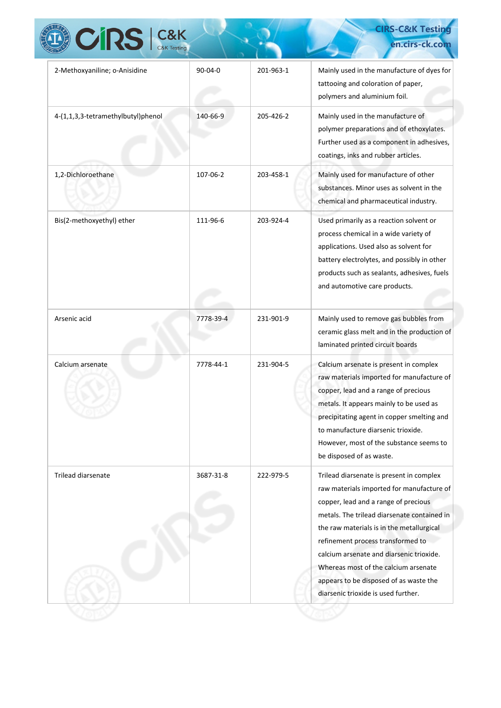| <b>CIRS</b> C&K                    |           |           | en.cirs-ck.com                                                                                                                                                                                                                                                                                                                                                                                                                      |
|------------------------------------|-----------|-----------|-------------------------------------------------------------------------------------------------------------------------------------------------------------------------------------------------------------------------------------------------------------------------------------------------------------------------------------------------------------------------------------------------------------------------------------|
| 2-Methoxyaniline; o-Anisidine      | $90-04-0$ | 201-963-1 | Mainly used in the manufacture of dyes for<br>tattooing and coloration of paper,<br>polymers and aluminium foil.                                                                                                                                                                                                                                                                                                                    |
| 4-(1,1,3,3-tetramethylbutyl)phenol | 140-66-9  | 205-426-2 | Mainly used in the manufacture of<br>polymer preparations and of ethoxylates.<br>Further used as a component in adhesives,<br>coatings, inks and rubber articles.                                                                                                                                                                                                                                                                   |
| 1,2-Dichloroethane                 | 107-06-2  | 203-458-1 | Mainly used for manufacture of other<br>substances. Minor uses as solvent in the<br>chemical and pharmaceutical industry.                                                                                                                                                                                                                                                                                                           |
| Bis(2-methoxyethyl) ether          | 111-96-6  | 203-924-4 | Used primarily as a reaction solvent or<br>process chemical in a wide variety of<br>applications. Used also as solvent for<br>battery electrolytes, and possibly in other<br>products such as sealants, adhesives, fuels<br>and automotive care products.                                                                                                                                                                           |
| Arsenic acid                       | 7778-39-4 | 231-901-9 | Mainly used to remove gas bubbles from<br>ceramic glass melt and in the production of<br>laminated printed circuit boards                                                                                                                                                                                                                                                                                                           |
| Calcium arsenate                   | 7778-44-1 | 231-904-5 | Calcium arsenate is present in complex<br>raw materials imported for manufacture of<br>copper, lead and a range of precious<br>metals. It appears mainly to be used as<br>precipitating agent in copper smelting and<br>to manufacture diarsenic trioxide.<br>However, most of the substance seems to<br>be disposed of as waste.                                                                                                   |
| <b>Trilead diarsenate</b>          | 3687-31-8 | 222-979-5 | Trilead diarsenate is present in complex<br>raw materials imported for manufacture of<br>copper, lead and a range of precious<br>metals. The trilead diarsenate contained in<br>the raw materials is in the metallurgical<br>refinement process transformed to<br>calcium arsenate and diarsenic trioxide.<br>Whereas most of the calcium arsenate<br>appears to be disposed of as waste the<br>diarsenic trioxide is used further. |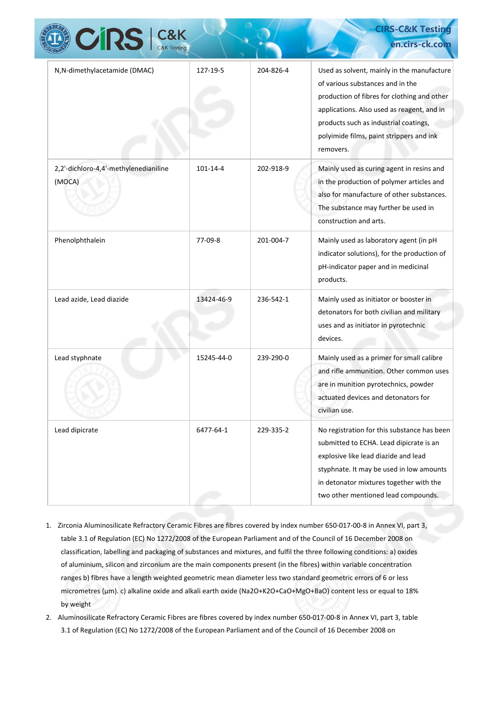| <b>CIRS</b>   C&K                               |            |           | <b>CIRS-C&amp;K Testing</b><br>en.cirs-ck.com                                                                                                                                                                                                                                 |
|-------------------------------------------------|------------|-----------|-------------------------------------------------------------------------------------------------------------------------------------------------------------------------------------------------------------------------------------------------------------------------------|
| N, N-dimethylacetamide (DMAC)                   | 127-19-5   | 204-826-4 | Used as solvent, mainly in the manufacture<br>of various substances and in the<br>production of fibres for clothing and other<br>applications. Also used as reagent, and in<br>products such as industrial coatings,<br>polyimide films, paint strippers and ink<br>removers. |
| 2,2'-dichloro-4,4'-methylenedianiline<br>(MOCA) | 101-14-4   | 202-918-9 | Mainly used as curing agent in resins and<br>in the production of polymer articles and<br>also for manufacture of other substances.<br>The substance may further be used in<br>construction and arts.                                                                         |
| Phenolphthalein                                 | 77-09-8    | 201-004-7 | Mainly used as laboratory agent (in pH<br>indicator solutions), for the production of<br>pH-indicator paper and in medicinal<br>products.                                                                                                                                     |
| Lead azide, Lead diazide                        | 13424-46-9 | 236-542-1 | Mainly used as initiator or booster in<br>detonators for both civilian and military<br>uses and as initiator in pyrotechnic<br>devices.                                                                                                                                       |
| Lead styphnate                                  | 15245-44-0 | 239-290-0 | Mainly used as a primer for small calibre<br>and rifle ammunition. Other common uses<br>are in munition pyrotechnics, powder<br>actuated devices and detonators for<br>civilian use.                                                                                          |
| Lead dipicrate                                  | 6477-64-1  | 229-335-2 | No registration for this substance has been<br>submitted to ECHA. Lead dipicrate is an<br>explosive like lead diazide and lead<br>styphnate. It may be used in low amounts<br>in detonator mixtures together with the<br>two other mentioned lead compounds.                  |

- 1. Zirconia Aluminosilicate Refractory Ceramic Fibres are fibres covered by index number 650-017-00-8 in Annex VI, part 3, table 3.1 of Regulation (EC) No 1272/2008 of the European Parliament and of the Council of 16 December 2008 on classification, labelling and packaging of substances and mixtures, and fulfil the three following conditions: a) oxides of aluminium, silicon and zirconium are the main components present (in the fibres) within variable concentration ranges b) fibres have a length weighted geometric mean diameter less two standard geometric errors of 6 or less micrometres (µm). c) alkaline oxide and alkali earth oxide (Na2O+K2O+CaO+MgO+BaO) content less or equal to 18% by weight
- 2. Aluminosilicate Refractory Ceramic Fibres are fibres covered by index number 650-017-00-8 in Annex VI, part 3, table 3.1 of Regulation (EC) No 1272/2008 of the European Parliament and of the Council of 16 December 2008 on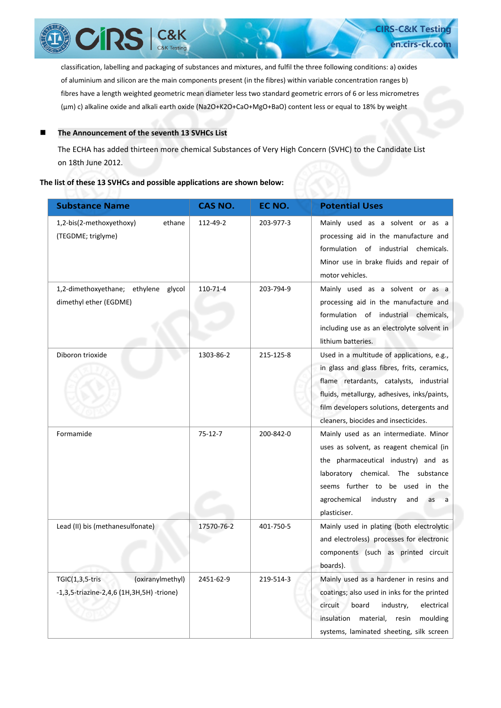

of aluminium and silicon are the main components present (in the fibres) within variable concentration ranges b) fibres have a length weighted geometric mean diameter less two standard geometric errors of 6 or less micrometres (µm) c) alkaline oxide and alkali earth oxide (Na2O+K2O+CaO+MgO+BaO) content less or equal to 18% by weight

**en.cirs-ck.co** 

#### ■ The Announcement of the seventh 13 SVHCs List

The ECHA has added thirteen more chemical Substances of Very High Concern (SVHC) to the Candidate List on 18th June 2012.

#### **The list of these 13 SVHCs and possible applications are shown below:**

| <b>Substance Name</b>                                                               | CAS NO.       | EC NO.    | <b>Potential Uses</b>                                                                                                                                                                                                                                                    |
|-------------------------------------------------------------------------------------|---------------|-----------|--------------------------------------------------------------------------------------------------------------------------------------------------------------------------------------------------------------------------------------------------------------------------|
| 1,2-bis(2-methoxyethoxy)<br>ethane<br>(TEGDME; triglyme)                            | 112-49-2      | 203-977-3 | Mainly used as a solvent or as a<br>processing aid in the manufacture and<br>formulation of industrial chemicals.<br>Minor use in brake fluids and repair of<br>motor vehicles.                                                                                          |
| 1,2-dimethoxyethane; ethylene glycol<br>dimethyl ether (EGDME)                      | 110-71-4      | 203-794-9 | Mainly used as a solvent or as a<br>processing aid in the manufacture and<br>formulation of industrial chemicals,<br>including use as an electrolyte solvent in<br>lithium batteries.                                                                                    |
| Diboron trioxide                                                                    | 1303-86-2     | 215-125-8 | Used in a multitude of applications, e.g.,<br>in glass and glass fibres, frits, ceramics,<br>flame retardants, catalysts, industrial<br>fluids, metallurgy, adhesives, inks/paints,<br>film developers solutions, detergents and<br>cleaners, biocides and insecticides. |
| Formamide                                                                           | $75 - 12 - 7$ | 200-842-0 | Mainly used as an intermediate. Minor<br>uses as solvent, as reagent chemical (in<br>the pharmaceutical industry) and as<br>laboratory chemical. The substance<br>seems further to be used<br>in<br>the<br>agrochemical<br>industry<br>and<br>as<br>a<br>plasticiser.    |
| Lead (II) bis (methanesulfonate)                                                    | 17570-76-2    | 401-750-5 | Mainly used in plating (both electrolytic<br>and electroless) processes for electronic<br>components (such as printed circuit<br>boards).                                                                                                                                |
| $TGIC(1,3,5-tris)$<br>(oxiranylmethyl)<br>-1,3,5-triazine-2,4,6 (1H,3H,5H) -trione) | 2451-62-9     | 219-514-3 | Mainly used as a hardener in resins and<br>coatings; also used in inks for the printed<br>circuit<br>board<br>industry,<br>electrical<br>insulation<br>material,<br>resin<br>moulding<br>systems, laminated sheeting, silk screen                                        |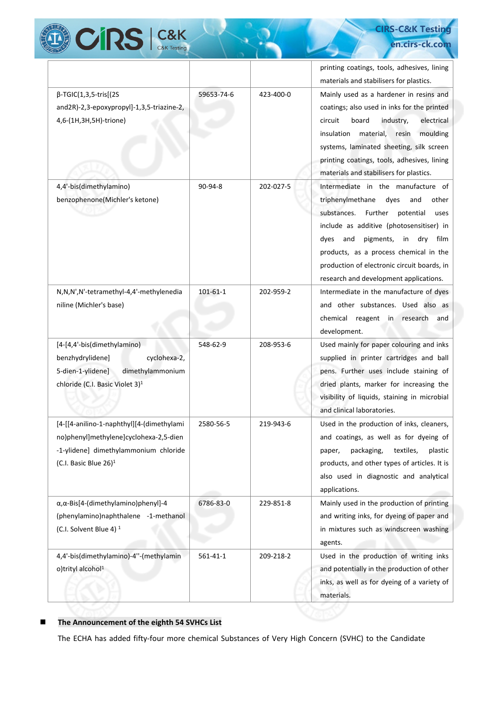

## **CIRS-C&K Testing en.cirs-ck.com**

|                                                                                                                                                                      |                |           | printing coatings, tools, adhesives, lining<br>materials and stabilisers for plastics.                                                                                                                                                                                                                                                                  |
|----------------------------------------------------------------------------------------------------------------------------------------------------------------------|----------------|-----------|---------------------------------------------------------------------------------------------------------------------------------------------------------------------------------------------------------------------------------------------------------------------------------------------------------------------------------------------------------|
| $\beta$ -TGIC(1,3,5-tris[(2S<br>and2R)-2,3-epoxypropyl]-1,3,5-triazine-2,<br>4,6-(1H,3H,5H)-trione)                                                                  | 59653-74-6     | 423-400-0 | Mainly used as a hardener in resins and<br>coatings; also used in inks for the printed<br>board<br>electrical<br>circuit<br>industry,<br>insulation<br>material,<br>moulding<br>resin<br>systems, laminated sheeting, silk screen<br>printing coatings, tools, adhesives, lining<br>materials and stabilisers for plastics.                             |
| 4,4'-bis(dimethylamino)<br>benzophenone(Michler's ketone)                                                                                                            | 90-94-8        | 202-027-5 | Intermediate in the manufacture of<br>triphenylmethane<br>dyes<br>and<br>other<br>substances.<br>Further potential<br>uses<br>include as additive (photosensitiser) in<br>dry<br>dyes<br>and<br>pigments, in<br>film<br>products, as a process chemical in the<br>production of electronic circuit boards, in<br>research and development applications. |
| N,N,N',N'-tetramethyl-4,4'-methylenedia<br>niline (Michler's base)                                                                                                   | $101 - 61 - 1$ | 202-959-2 | Intermediate in the manufacture of dyes<br>and other substances. Used also as<br>chemical reagent in research<br>and<br>development.                                                                                                                                                                                                                    |
| [4-[4,4'-bis(dimethylamino)<br>benzhydrylidene]<br>cyclohexa-2,<br>5-dien-1-ylidene]<br>dimethylammonium<br>chloride (C.I. Basic Violet 3) <sup>1</sup>              | 548-62-9       | 208-953-6 | Used mainly for paper colouring and inks<br>supplied in printer cartridges and ball<br>pens. Further uses include staining of<br>dried plants, marker for increasing the<br>visibility of liquids, staining in microbial<br>and clinical laboratories.                                                                                                  |
| [4-[[4-anilino-1-naphthyl][4-(dimethylami<br>no)phenyl]methylene]cyclohexa-2,5-dien<br>-1-ylidene] dimethylammonium chloride<br>(C.I. Basic Blue $26$ ) <sup>1</sup> | 2580-56-5      | 219-943-6 | Used in the production of inks, cleaners,<br>and coatings, as well as for dyeing of<br>packaging,<br>textiles,<br>plastic<br>paper,<br>products, and other types of articles. It is<br>also used in diagnostic and analytical<br>applications.                                                                                                          |
| α, α-Bis[4-(dimethylamino) phenyl]-4<br>(phenylamino)naphthalene -1-methanol<br>(C.I. Solvent Blue 4) <sup>1</sup>                                                   | 6786-83-0      | 229-851-8 | Mainly used in the production of printing<br>and writing inks, for dyeing of paper and<br>in mixtures such as windscreen washing<br>agents.                                                                                                                                                                                                             |
| 4,4'-bis(dimethylamino)-4"-(methylamin<br>o)trityl alcohol <sup>1</sup>                                                                                              | $561 - 41 - 1$ | 209-218-2 | Used in the production of writing inks<br>and potentially in the production of other<br>inks, as well as for dyeing of a variety of<br>materials.                                                                                                                                                                                                       |

## **The Announcement of the eighth 54 SVHCs List**

The ECHA has added fifty-four more chemical Substances of Very High Concern (SVHC) to the Candidate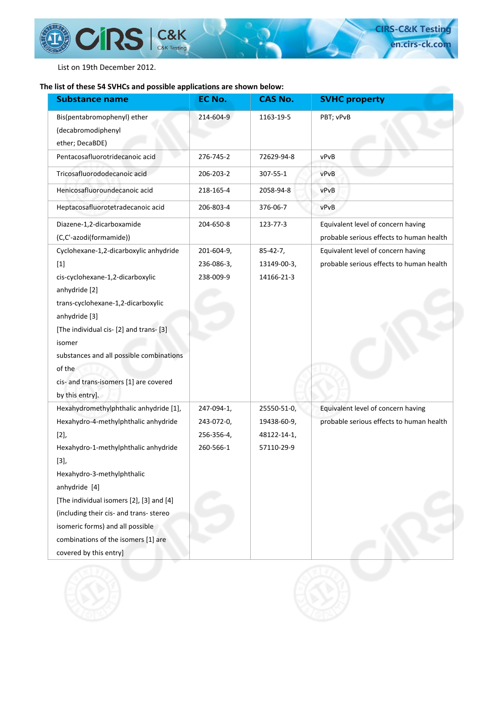List on 19th December 2012.

 $\left(\prod_{i=1}^n\left(\prod_{j=1}^n\right)^{n}\right)$ 

**CIRS** C&K

## **The list of these 54 SVHCs and possible applications are shown below:**

| <b>Substance name</b>                    | EC No.     | <b>CAS No.</b>  | <b>SVHC property</b>                     |
|------------------------------------------|------------|-----------------|------------------------------------------|
| Bis(pentabromophenyl) ether              | 214-604-9  | 1163-19-5       | PBT; vPvB                                |
| (decabromodiphenyl                       |            |                 |                                          |
| ether; DecaBDE)                          |            |                 |                                          |
| Pentacosafluorotridecanoic acid          | 276-745-2  | 72629-94-8      | vPvB                                     |
| Tricosafluorododecanoic acid             | 206-203-2  | 307-55-1        | vPvB                                     |
| Henicosafluoroundecanoic acid            | 218-165-4  | 2058-94-8       | vPvB                                     |
| Heptacosafluorotetradecanoic acid        | 206-803-4  | 376-06-7        | vPvB                                     |
| Diazene-1,2-dicarboxamide                | 204-650-8  | 123-77-3        | Equivalent level of concern having       |
| (C,C'-azodi(formamide))                  |            |                 | probable serious effects to human health |
| Cyclohexane-1,2-dicarboxylic anhydride   | 201-604-9, | $85 - 42 - 7$ , | Equivalent level of concern having       |
| $[1]$                                    | 236-086-3, | 13149-00-3,     | probable serious effects to human health |
| cis-cyclohexane-1,2-dicarboxylic         | 238-009-9  | 14166-21-3      |                                          |
| anhydride [2]                            |            |                 |                                          |
| trans-cyclohexane-1,2-dicarboxylic       |            |                 |                                          |
| anhydride [3]                            |            |                 |                                          |
| [The individual cis- [2] and trans- [3]  |            |                 |                                          |
| isomer                                   |            |                 |                                          |
| substances and all possible combinations |            |                 |                                          |
| of the                                   |            |                 |                                          |
| cis- and trans-isomers [1] are covered   |            |                 |                                          |
| by this entry].                          |            |                 |                                          |
| Hexahydromethylphthalic anhydride [1],   | 247-094-1, | 25550-51-0,     | Equivalent level of concern having       |
| Hexahydro-4-methylphthalic anhydride     | 243-072-0, | 19438-60-9,     | probable serious effects to human health |
| $[2],$                                   | 256-356-4, | 48122-14-1,     |                                          |
| Hexahydro-1-methylphthalic anhydride     | 260-566-1  | 57110-29-9      |                                          |
| $[3],$                                   |            |                 |                                          |
| Hexahydro-3-methylphthalic               |            |                 |                                          |
| anhydride [4]                            |            |                 |                                          |
| [The individual isomers [2], [3] and [4] |            |                 |                                          |
| (including their cis- and trans- stereo  |            |                 |                                          |
| isomeric forms) and all possible         |            |                 |                                          |
| combinations of the isomers [1] are      |            |                 |                                          |
| covered by this entry]                   |            |                 |                                          |

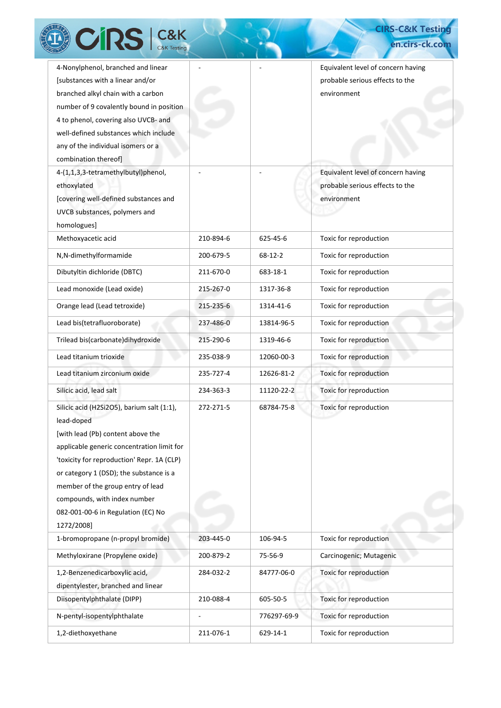| <b>TRST</b><br>C&K Testing                                                                                                                                                                                                                                                                                                                                    |           |               | en.cirs-ck.com                                                                       |
|---------------------------------------------------------------------------------------------------------------------------------------------------------------------------------------------------------------------------------------------------------------------------------------------------------------------------------------------------------------|-----------|---------------|--------------------------------------------------------------------------------------|
| 4-Nonylphenol, branched and linear<br>[substances with a linear and/or<br>branched alkyl chain with a carbon<br>number of 9 covalently bound in position<br>4 to phenol, covering also UVCB- and<br>well-defined substances which include<br>any of the individual isomers or a<br>combination thereof]                                                       |           |               | Equivalent level of concern having<br>probable serious effects to the<br>environment |
| 4-(1,1,3,3-tetramethylbutyl)phenol,<br>ethoxylated<br>[covering well-defined substances and<br>UVCB substances, polymers and<br>homologues]                                                                                                                                                                                                                   |           |               | Equivalent level of concern having<br>probable serious effects to the<br>environment |
| Methoxyacetic acid                                                                                                                                                                                                                                                                                                                                            | 210-894-6 | 625-45-6      | Toxic for reproduction                                                               |
| N,N-dimethylformamide                                                                                                                                                                                                                                                                                                                                         | 200-679-5 | $68 - 12 - 2$ | Toxic for reproduction                                                               |
| Dibutyltin dichloride (DBTC)                                                                                                                                                                                                                                                                                                                                  | 211-670-0 | 683-18-1      | Toxic for reproduction                                                               |
| Lead monoxide (Lead oxide)                                                                                                                                                                                                                                                                                                                                    | 215-267-0 | 1317-36-8     | Toxic for reproduction                                                               |
| Orange lead (Lead tetroxide)                                                                                                                                                                                                                                                                                                                                  | 215-235-6 | 1314-41-6     | Toxic for reproduction                                                               |
| Lead bis(tetrafluoroborate)                                                                                                                                                                                                                                                                                                                                   | 237-486-0 | 13814-96-5    | Toxic for reproduction                                                               |
| Trilead bis(carbonate)dihydroxide                                                                                                                                                                                                                                                                                                                             | 215-290-6 | 1319-46-6     | Toxic for reproduction                                                               |
| Lead titanium trioxide                                                                                                                                                                                                                                                                                                                                        | 235-038-9 | 12060-00-3    | Toxic for reproduction                                                               |
| Lead titanium zirconium oxide                                                                                                                                                                                                                                                                                                                                 | 235-727-4 | 12626-81-2    | Toxic for reproduction                                                               |
| Silicic acid, lead salt                                                                                                                                                                                                                                                                                                                                       | 234-363-3 | 11120-22-2    | Toxic for reproduction                                                               |
| Silicic acid (H2Si2O5), barium salt (1:1),<br>lead-doped<br>[with lead (Pb) content above the<br>applicable generic concentration limit for<br>'toxicity for reproduction' Repr. 1A (CLP)<br>or category 1 (DSD); the substance is a<br>member of the group entry of lead<br>compounds, with index number<br>082-001-00-6 in Regulation (EC) No<br>1272/2008] | 272-271-5 | 68784-75-8    | Toxic for reproduction                                                               |
| 1-bromopropane (n-propyl bromide)                                                                                                                                                                                                                                                                                                                             | 203-445-0 | 106-94-5      | Toxic for reproduction                                                               |
| Methyloxirane (Propylene oxide)                                                                                                                                                                                                                                                                                                                               | 200-879-2 | 75-56-9       | Carcinogenic; Mutagenic                                                              |
| 1,2-Benzenedicarboxylic acid,                                                                                                                                                                                                                                                                                                                                 | 284-032-2 | 84777-06-0    | Toxic for reproduction                                                               |
| dipentylester, branched and linear                                                                                                                                                                                                                                                                                                                            |           |               |                                                                                      |
| Diisopentylphthalate (DIPP)                                                                                                                                                                                                                                                                                                                                   | 210-088-4 | 605-50-5      | Toxic for reproduction                                                               |
| N-pentyl-isopentylphthalate                                                                                                                                                                                                                                                                                                                                   |           | 776297-69-9   | Toxic for reproduction                                                               |
| 1,2-diethoxyethane                                                                                                                                                                                                                                                                                                                                            | 211-076-1 | 629-14-1      | Toxic for reproduction                                                               |

**CIRS-C&K Testing**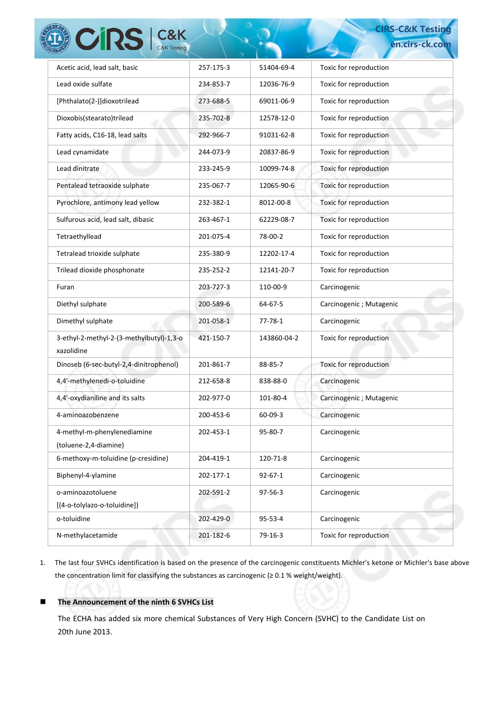| CRS C&K                                                |           |               | <b>CIRS-C&amp;K Testing</b> |
|--------------------------------------------------------|-----------|---------------|-----------------------------|
|                                                        |           |               | en.cirs-ck.com              |
| Acetic acid, lead salt, basic                          | 257-175-3 | 51404-69-4    | Toxic for reproduction      |
| Lead oxide sulfate                                     | 234-853-7 | 12036-76-9    | Toxic for reproduction      |
| [Phthalato(2-)]dioxotrilead                            | 273-688-5 | 69011-06-9    | Toxic for reproduction      |
| Dioxobis(stearato)trilead                              | 235-702-8 | 12578-12-0    | Toxic for reproduction      |
| Fatty acids, C16-18, lead salts                        | 292-966-7 | 91031-62-8    | Toxic for reproduction      |
| Lead cynamidate                                        | 244-073-9 | 20837-86-9    | Toxic for reproduction      |
| Lead dinitrate                                         | 233-245-9 | 10099-74-8    | Toxic for reproduction      |
| Pentalead tetraoxide sulphate                          | 235-067-7 | 12065-90-6    | Toxic for reproduction      |
| Pyrochlore, antimony lead yellow                       | 232-382-1 | 8012-00-8     | Toxic for reproduction      |
| Sulfurous acid, lead salt, dibasic                     | 263-467-1 | 62229-08-7    | Toxic for reproduction      |
| Tetraethyllead                                         | 201-075-4 | 78-00-2       | Toxic for reproduction      |
| Tetralead trioxide sulphate                            | 235-380-9 | 12202-17-4    | Toxic for reproduction      |
| Trilead dioxide phosphonate                            | 235-252-2 | 12141-20-7    | Toxic for reproduction      |
| Furan                                                  | 203-727-3 | 110-00-9      | Carcinogenic                |
| Diethyl sulphate                                       | 200-589-6 | 64-67-5       | Carcinogenic; Mutagenic     |
| Dimethyl sulphate                                      | 201-058-1 | 77-78-1       | Carcinogenic                |
| 3-ethyl-2-methyl-2-(3-methylbutyl)-1,3-o<br>xazolidine | 421-150-7 | 143860-04-2   | Toxic for reproduction      |
| Dinoseb (6-sec-butyl-2,4-dinitrophenol)                | 201-861-7 | 88-85-7       | Toxic for reproduction      |
| 4,4'-methylenedi-o-toluidine                           | 212-658-8 | 838-88-0      | Carcinogenic                |
| 4,4'-oxydianiline and its salts                        | 202-977-0 | 101-80-4      | Carcinogenic; Mutagenic     |
| 4-aminoazobenzene                                      | 200-453-6 | $60 - 09 - 3$ | Carcinogenic                |
| 4-methyl-m-phenylenediamine<br>(toluene-2,4-diamine)   | 202-453-1 | 95-80-7       | Carcinogenic                |
| 6-methoxy-m-toluidine (p-cresidine)                    | 204-419-1 | 120-71-8      | Carcinogenic                |
| Biphenyl-4-ylamine                                     | 202-177-1 | $92 - 67 - 1$ | Carcinogenic                |
| o-aminoazotoluene<br>[(4-o-tolylazo-o-toluidine])      | 202-591-2 | 97-56-3       | Carcinogenic                |
| o-toluidine                                            | 202-429-0 | 95-53-4       | Carcinogenic                |
| N-methylacetamide                                      | 201-182-6 | 79-16-3       | Toxic for reproduction      |
|                                                        |           |               |                             |

1. The last four SVHCs identification is based on the presence of the carcinogenic constituents Michler's ketone or Michler's base above the concentration limit for classifying the substances as carcinogenic (≥ 0.1 % weight/weight).

## ■ The Announcement of the ninth **6 SVHCs List**

The ECHA has added six more chemical Substances of Very High Concern (SVHC) to the Candidate List on 20th June 2013.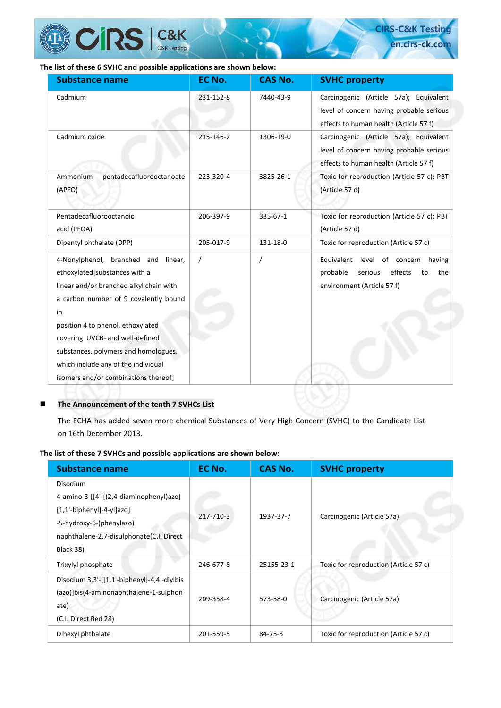

## **The list of these 6 SVHC and possible applications are shown below:**

| <b>Substance name</b>                                                                                                                                                                                                                     | EC No.    | <b>CAS No.</b> | <b>SVHC property</b>                                                                                                         |
|-------------------------------------------------------------------------------------------------------------------------------------------------------------------------------------------------------------------------------------------|-----------|----------------|------------------------------------------------------------------------------------------------------------------------------|
| Cadmium                                                                                                                                                                                                                                   | 231-152-8 | 7440-43-9      | Carcinogenic (Article 57a); Equivalent<br>level of concern having probable serious<br>effects to human health (Article 57 f) |
| Cadmium oxide                                                                                                                                                                                                                             | 215-146-2 | 1306-19-0      | Carcinogenic (Article 57a); Equivalent<br>level of concern having probable serious<br>effects to human health (Article 57 f) |
| Ammonium<br>pentadecafluorooctanoate<br>(APFO)                                                                                                                                                                                            | 223-320-4 | 3825-26-1      | Toxic for reproduction (Article 57 c); PBT<br>(Article 57 d)                                                                 |
| Pentadecafluorooctanoic<br>acid (PFOA)                                                                                                                                                                                                    | 206-397-9 | 335-67-1       | Toxic for reproduction (Article 57 c); PBT<br>(Article 57 d)                                                                 |
| Dipentyl phthalate (DPP)                                                                                                                                                                                                                  | 205-017-9 | 131-18-0       | Toxic for reproduction (Article 57 c)                                                                                        |
| 4-Nonylphenol, branched and<br>linear,<br>ethoxylated[substances with a<br>linear and/or branched alkyl chain with<br>a carbon number of 9 covalently bound<br>in<br>position 4 to phenol, ethoxylated<br>covering UVCB- and well-defined |           |                | Equivalent level of concern<br>having<br>effects<br>probable<br>serious<br>to<br>the<br>environment (Article 57 f)           |
| substances, polymers and homologues,<br>which include any of the individual<br>isomers and/or combinations thereof]                                                                                                                       |           |                |                                                                                                                              |

**CIRS-C&K Testi en.cirs-ck.c** 

## **The Announcement of the tenth 7 SVHCs List**

The ECHA has added seven more chemical Substances of Very High Concern (SVHC) to the Candidate List on 16th December 2013.

#### **The list of these 7 SVHCs and possible applications are shown below:**

| <b>Substance name</b>                          | EC No.    | <b>CAS No.</b> | <b>SVHC property</b>                  |
|------------------------------------------------|-----------|----------------|---------------------------------------|
| <b>Disodium</b>                                |           |                |                                       |
| 4-amino-3-[[4'-[(2,4-diaminophenyl)azo]        |           |                |                                       |
| $[1,1'-bipheny$ ]-4-yl]azo]                    | 217-710-3 | 1937-37-7      | Carcinogenic (Article 57a)            |
| -5-hydroxy-6-(phenylazo)                       |           |                |                                       |
| naphthalene-2,7-disulphonate(C.I. Direct       |           |                |                                       |
| Black 38)                                      |           |                |                                       |
| Trixylyl phosphate                             | 246-677-8 | 25155-23-1     | Toxic for reproduction (Article 57 c) |
| Disodium $3,3'$ -[[1,1'-biphenyl]-4,4'-diylbis |           |                |                                       |
| (azo)]bis(4-aminonaphthalene-1-sulphon         | 209-358-4 | 573-58-0       | Carcinogenic (Article 57a)            |
| ate)                                           |           |                |                                       |
| (C.I. Direct Red 28)                           |           |                |                                       |
| Dihexyl phthalate                              | 201-559-5 | 84-75-3        | Toxic for reproduction (Article 57 c) |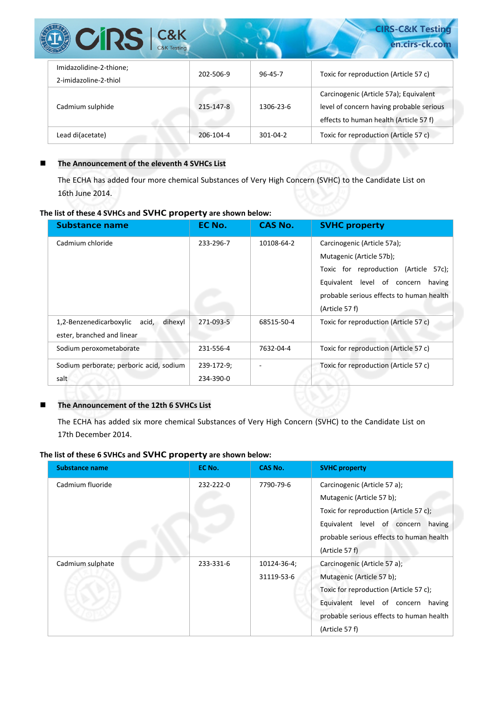| $C&K$<br>C&K Testing<br><b>CIRS</b>              |           |                | <b>CIRS-C&amp;K Testing</b><br>en.cirs-ck.com                                                                                |
|--------------------------------------------------|-----------|----------------|------------------------------------------------------------------------------------------------------------------------------|
| Imidazolidine-2-thione;<br>2-imidazoline-2-thiol | 202-506-9 | $96 - 45 - 7$  | Toxic for reproduction (Article 57 c)                                                                                        |
| Cadmium sulphide                                 | 215-147-8 | 1306-23-6      | Carcinogenic (Article 57a); Equivalent<br>level of concern having probable serious<br>effects to human health (Article 57 f) |
| Lead di(acetate)                                 | 206-104-4 | $301 - 04 - 2$ | Toxic for reproduction (Article 57 c)                                                                                        |

## **The Announcement of the eleventh 4 SVHCs List**

The ECHA has added four more chemical Substances of Very High Concern (SVHC) to the Candidate List on 16th June 2014.

## **The list of these 4 SVHCs and SVHC property are shown below:**

| <b>Substance name</b>                       | EC No.     | <b>CAS No.</b> | <b>SVHC property</b>                     |
|---------------------------------------------|------------|----------------|------------------------------------------|
| Cadmium chloride                            | 233-296-7  | 10108-64-2     | Carcinogenic (Article 57a);              |
|                                             |            |                | Mutagenic (Article 57b);                 |
|                                             |            |                | Toxic for reproduction (Article<br>57c); |
|                                             |            |                | Equivalent level of concern<br>having    |
|                                             |            |                | probable serious effects to human health |
|                                             |            |                | (Article 57 f)                           |
| 1,2-Benzenedicarboxylic<br>dihexyl<br>acid, | 271-093-5  | 68515-50-4     | Toxic for reproduction (Article 57 c)    |
| ester, branched and linear                  |            |                |                                          |
| Sodium peroxometaborate                     | 231-556-4  | 7632-04-4      | Toxic for reproduction (Article 57 c)    |
| Sodium perborate; perboric acid, sodium     | 239-172-9; |                | Toxic for reproduction (Article 57 c)    |
| salt                                        | 234-390-0  |                |                                          |

#### **The Announcement of the 12th 6 SVHCs List**

The ECHA has added six more chemical Substances of Very High Concern (SVHC) to the Candidate List on 17th December 2014.

## **The list of these 6 SVHCs and SVHC property are shown below:**

| <b>Substance name</b> | EC No.    | <b>CAS No.</b> | <b>SVHC property</b>                     |
|-----------------------|-----------|----------------|------------------------------------------|
| Cadmium fluoride      | 232-222-0 | 7790-79-6      | Carcinogenic (Article 57 a);             |
|                       |           |                | Mutagenic (Article 57 b);                |
|                       |           |                | Toxic for reproduction (Article 57 c);   |
|                       |           |                | Equivalent level of concern<br>having    |
|                       |           |                | probable serious effects to human health |
|                       |           |                | (Article 57 f)                           |
| Cadmium sulphate      | 233-331-6 | 10124-36-4;    | Carcinogenic (Article 57 a);             |
|                       |           | 31119-53-6     | Mutagenic (Article 57 b);                |
|                       |           |                | Toxic for reproduction (Article 57 c);   |
|                       |           |                | Equivalent level of concern<br>having    |
|                       |           |                | probable serious effects to human health |
|                       |           |                | (Article 57 f)                           |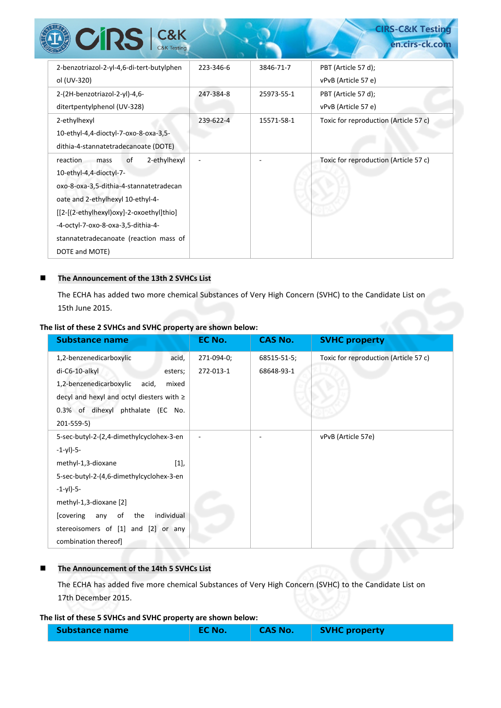| <b>CRS</b> C&K                                                                                                                                     |           |            | <b>CIRS-C&amp;K Testing</b><br>en.cirs-ck.com |
|----------------------------------------------------------------------------------------------------------------------------------------------------|-----------|------------|-----------------------------------------------|
| 2-benzotriazol-2-yl-4,6-di-tert-butylphen<br>ol (UV-320)                                                                                           | 223-346-6 | 3846-71-7  | PBT (Article 57 d);<br>vPvB (Article 57 e)    |
| 2-(2H-benzotriazol-2-yl)-4,6-<br>ditertpentylphenol (UV-328)                                                                                       | 247-384-8 | 25973-55-1 | PBT (Article 57 d);<br>vPvB (Article 57 e)    |
| 2-ethylhexyl<br>10-ethyl-4,4-dioctyl-7-oxo-8-oxa-3,5-<br>dithia-4-stannatetradecanoate (DOTE)                                                      | 239-622-4 | 15571-58-1 | Toxic for reproduction (Article 57 c)         |
| 2-ethylhexyl<br>reaction.<br>of<br>mass<br>10-ethyl-4,4-dioctyl-7-<br>oxo-8-oxa-3,5-dithia-4-stannatetradecan<br>oate and 2-ethylhexyl 10-ethyl-4- |           |            | Toxic for reproduction (Article 57 c)         |
| [[2-[(2-ethylhexyl)oxy]-2-oxoethyl]thio]<br>-4-octyl-7-oxo-8-oxa-3,5-dithia-4-<br>stannatetradecanoate (reaction mass of<br>DOTE and MOTE)         |           |            |                                               |

#### **The Announcement of the 13th 2 SVHCs List**

The ECHA has added two more chemical Substances of Very High Concern (SVHC) to the Candidate List on 15th June 2015.

## **The list of these 2 SVHCs and SVHC property are shown below:**

| <b>Substance name</b>                        | EC No.     | <b>CAS No.</b> | <b>SVHC property</b>                  |
|----------------------------------------------|------------|----------------|---------------------------------------|
| 1,2-benzenedicarboxylic<br>acid,             | 271-094-0; | 68515-51-5;    | Toxic for reproduction (Article 57 c) |
| di-C6-10-alkyl<br>esters;                    | 272-013-1  | 68648-93-1     |                                       |
| 1,2-benzenedicarboxylic<br>acid,<br>mixed    |            |                |                                       |
| decyl and hexyl and octyl diesters with ≥    |            |                |                                       |
| 0.3% of dihexyl phthalate (EC No.            |            |                |                                       |
| 201-559-5)                                   |            |                |                                       |
| 5-sec-butyl-2-(2,4-dimethylcyclohex-3-en     |            |                | vPvB (Article 57e)                    |
| $-1-yl$ )-5-                                 |            |                |                                       |
| $[1],$<br>methyl-1,3-dioxane                 |            |                |                                       |
| 5-sec-butyl-2-(4,6-dimethylcyclohex-3-en     |            |                |                                       |
| $-1-yl$ )-5-                                 |            |                |                                       |
| methyl-1,3-dioxane [2]                       |            |                |                                       |
| of<br>the<br>individual<br>[covering]<br>any |            |                |                                       |
| stereoisomers of [1] and [2] or any          |            |                |                                       |
| combination thereof]                         |            |                |                                       |

#### **The Announcement of the 14th 5 SVHCs List**

The ECHA has added five more chemical Substances of Very High Concern (SVHC) to the Candidate List on 17th December 2015.

#### **The list of these 5 SVHCs and SVHC property are shown below:**

| <b>Substance name</b><br><b>CAS No.</b><br><b>EC No.</b><br><b>SVHC property</b> |  |
|----------------------------------------------------------------------------------|--|
|----------------------------------------------------------------------------------|--|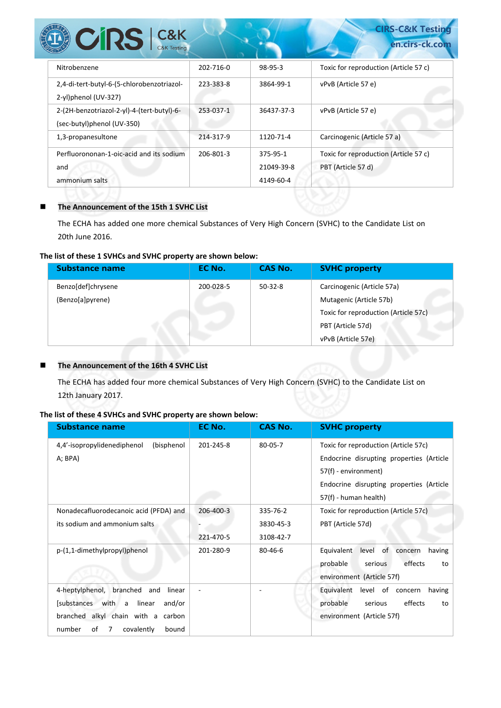| <b>CIRS</b> C&K                                                          |           |                                     | <b>CIRS-C&amp;K Testing</b><br>en.cirs-ck.com               |
|--------------------------------------------------------------------------|-----------|-------------------------------------|-------------------------------------------------------------|
| Nitrobenzene                                                             | 202-716-0 | 98-95-3                             | Toxic for reproduction (Article 57 c)                       |
| 2,4-di-tert-butyl-6-(5-chlorobenzotriazol-<br>2-yl)phenol (UV-327)       | 223-383-8 | 3864-99-1                           | vPvB (Article 57 e)                                         |
| 2-(2H-benzotriazol-2-yl)-4-(tert-butyl)-6-<br>(sec-butyl)phenol (UV-350) | 253-037-1 | 36437-37-3                          | vPvB (Article 57 e)                                         |
| 1,3-propanesultone                                                       | 214-317-9 | 1120-71-4                           | Carcinogenic (Article 57 a)                                 |
| Perfluorononan-1-oic-acid and its sodium<br>and<br>ammonium salts        | 206-801-3 | 375-95-1<br>21049-39-8<br>4149-60-4 | Toxic for reproduction (Article 57 c)<br>PBT (Article 57 d) |

## **The Announcement of the 15th 1 SVHC List**

The ECHA has added one more chemical Substances of Very High Concern (SVHC) to the Candidate List on 20th June 2016.

#### **The list of these 1 SVHCs and SVHC property are shown below:**

| Substance name     | EC No.    | <b>CAS No.</b> | <b>SVHC property</b>                 |
|--------------------|-----------|----------------|--------------------------------------|
| Benzo[def]chrysene | 200-028-5 | $50-32-8$      | Carcinogenic (Article 57a)           |
| (Benzo[a]pyrene)   |           |                | Mutagenic (Article 57b)              |
|                    |           |                | Toxic for reproduction (Article 57c) |
|                    |           |                | PBT (Article 57d)                    |
|                    |           |                | vPvB (Article 57e)                   |

## **The Announcement of the 16th 4 SVHC List**

The ECHA has added four more chemical Substances of Very High Concern (SVHC) to the Candidate List on 12th January 2017.

#### **The list of these 4 SVHCs and SVHC property are shown below:**

| <b>Substance name</b>                     | EC No.    | <b>CAS No.</b> | <b>SVHC property</b>                        |
|-------------------------------------------|-----------|----------------|---------------------------------------------|
| (bisphenol<br>4,4'-isopropylidenediphenol | 201-245-8 | $80 - 05 - 7$  | Toxic for reproduction (Article 57c)        |
| A; BPA)                                   |           |                | Endocrine disrupting properties (Article    |
|                                           |           |                | 57(f) - environment)                        |
|                                           |           |                | Endocrine disrupting properties (Article    |
|                                           |           |                | 57(f) - human health)                       |
| Nonadecafluorodecanoic acid (PFDA) and    | 206-400-3 | 335-76-2       | Toxic for reproduction (Article 57c)        |
| its sodium and ammonium salts             |           | 3830-45-3      | PBT (Article 57d)                           |
|                                           | 221-470-5 | 3108-42-7      |                                             |
| p-(1,1-dimethylpropyl)phenol              | 201-280-9 | 80-46-6        | of concern<br>Equivalent<br>level<br>having |
|                                           |           |                | effects<br>probable<br>serious<br>to        |
|                                           |           |                | environment (Article 57f)                   |
| 4-heptylphenol, branched<br>and<br>linear |           |                | level of concern<br>Equivalent<br>having    |
| [substances<br>with a<br>linear<br>and/or |           |                | probable<br>effects<br>serious<br>to        |
| branched alkyl chain with a carbon        |           |                | environment (Article 57f)                   |
| number<br>οf<br>7<br>covalently<br>bound  |           |                |                                             |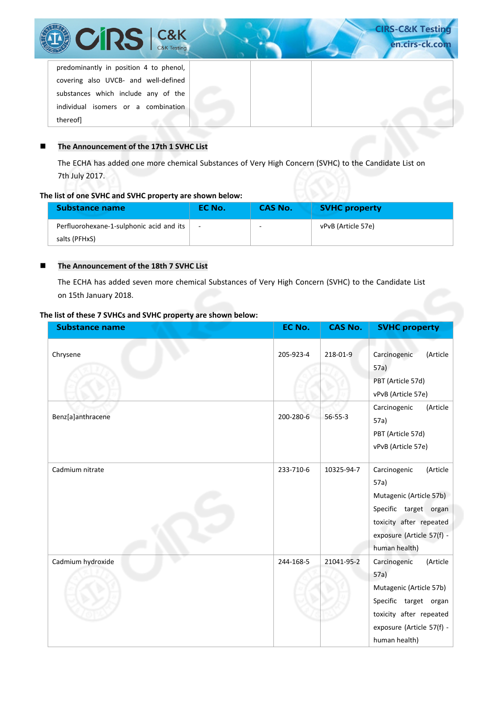| <b>CIRS</b> C&K                                                                | <b>CIRS-C&amp;K Testing</b><br>en.cirs-ck.com |
|--------------------------------------------------------------------------------|-----------------------------------------------|
| predominantly in position 4 to phenol,<br>covering also UVCB- and well-defined |                                               |
| substances which include any of the                                            |                                               |
| individual isomers or a combination<br>thereofl                                |                                               |

## **The Announcement of the 17th 1 SVHC List**

The ECHA has added one more chemical Substances of Very High Concern (SVHC) to the Candidate List on 7th July 2017.

#### **The list of one SVHC and SVHC property are shown below:**

| <b>Substance name</b>                    | EC No. | CAS No. | <b>SVHC property</b> |
|------------------------------------------|--------|---------|----------------------|
| Perfluorohexane-1-sulphonic acid and its |        | -       | vPvB (Article 57e)   |
| salts (PFHxS)                            |        |         |                      |

#### **The Announcement of the 18th 7 SVHC List**

The ECHA has added seven more chemical Substances of Very High Concern (SVHC) to the Candidate List on 15th January 2018.

#### **The list of these 7 SVHCs and SVHC property are shown below:**

| <b>Substance name</b> | EC No.    | <b>CAS No.</b> | <b>SVHC property</b>                                                                                                                                          |
|-----------------------|-----------|----------------|---------------------------------------------------------------------------------------------------------------------------------------------------------------|
| Chrysene              | 205-923-4 | 218-01-9       | (Article<br>Carcinogenic<br>57a)<br>PBT (Article 57d)                                                                                                         |
|                       |           |                | vPvB (Article 57e)                                                                                                                                            |
| Benz[a]anthracene     | 200-280-6 | $56 - 55 - 3$  | (Article<br>Carcinogenic<br>57a)<br>PBT (Article 57d)<br>vPvB (Article 57e)                                                                                   |
| Cadmium nitrate       | 233-710-6 | 10325-94-7     | (Article<br>Carcinogenic<br>57a)<br>Mutagenic (Article 57b)<br>Specific target organ<br>toxicity after repeated<br>exposure (Article 57(f) -<br>human health) |
| Cadmium hydroxide     | 244-168-5 | 21041-95-2     | Carcinogenic<br>(Article<br>57a)<br>Mutagenic (Article 57b)<br>Specific target organ<br>toxicity after repeated<br>exposure (Article 57(f) -<br>human health) |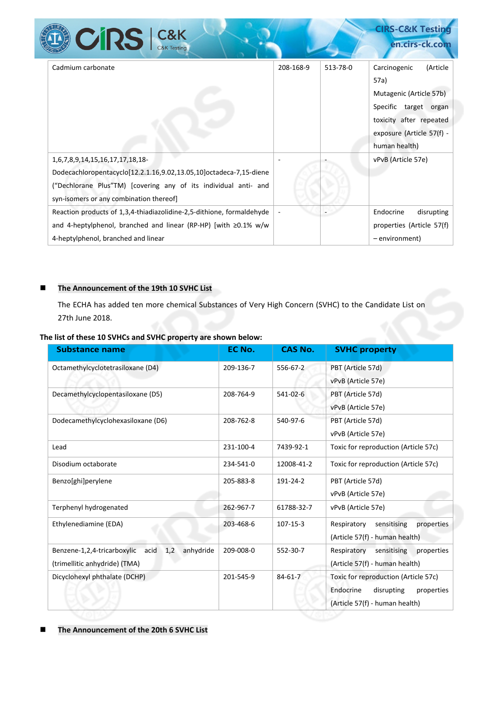|                                                                                                                                                                                                                     |           |          | <b>CIRS-COOR TESURE</b>                                                                                                                                       |
|---------------------------------------------------------------------------------------------------------------------------------------------------------------------------------------------------------------------|-----------|----------|---------------------------------------------------------------------------------------------------------------------------------------------------------------|
| <b>CRS</b> C&K                                                                                                                                                                                                      |           |          | en.cirs-ck.com                                                                                                                                                |
| Cadmium carbonate                                                                                                                                                                                                   | 208-168-9 | 513-78-0 | (Article<br>Carcinogenic<br>57a)<br>Mutagenic (Article 57b)<br>Specific target organ<br>toxicity after repeated<br>exposure (Article 57(f) -<br>human health) |
| 1,6,7,8,9,14,15,16,17,17,18,18-<br>Dodecachloropentacyclo[12.2.1.16,9.02,13.05,10]octadeca-7,15-diene<br>("Dechlorane Plus"TM) [covering any of its individual anti- and<br>syn-isomers or any combination thereof] |           |          | vPvB (Article 57e)                                                                                                                                            |
| Reaction products of 1,3,4-thiadiazolidine-2,5-dithione, formaldehyde<br>and 4-heptylphenol, branched and linear (RP-HP) [with $\geq 0.1\%$ w/w<br>4-heptylphenol, branched and linear                              |           |          | Endocrine<br>disrupting<br>properties (Article 57(f)<br>- environment)                                                                                        |

**CIRS-C&K Testing**

## **The Announcement of the 19th 10 SVHC List**

**REA** 

The ECHA has added ten more chemical Substances of Very High Concern (SVHC) to the Candidate List on 27th June 2018.

| <b>Substance name</b>                                | EC No.    | <b>CAS No.</b> | <b>SVHC property</b>                     |
|------------------------------------------------------|-----------|----------------|------------------------------------------|
| Octamethylcyclotetrasiloxane (D4)                    | 209-136-7 | 556-67-2       | PBT (Article 57d)                        |
|                                                      |           |                | vPvB (Article 57e)                       |
| Decamethylcyclopentasiloxane (D5)                    | 208-764-9 | 541-02-6       | PBT (Article 57d)                        |
|                                                      |           |                | vPvB (Article 57e)                       |
| Dodecamethylcyclohexasiloxane (D6)                   | 208-762-8 | 540-97-6       | PBT (Article 57d)                        |
|                                                      |           |                | vPvB (Article 57e)                       |
| Lead                                                 | 231-100-4 | 7439-92-1      | Toxic for reproduction (Article 57c)     |
| Disodium octaborate                                  | 234-541-0 | 12008-41-2     | Toxic for reproduction (Article 57c)     |
| Benzo[ghi]perylene                                   | 205-883-8 | 191-24-2       | PBT (Article 57d)                        |
|                                                      |           |                | vPvB (Article 57e)                       |
| Terphenyl hydrogenated                               | 262-967-7 | 61788-32-7     | vPvB (Article 57e)                       |
| Ethylenediamine (EDA)                                | 203-468-6 | 107-15-3       | Respiratory<br>sensitising<br>properties |
|                                                      |           |                | (Article 57(f) - human health)           |
| 1,2<br>anhydride<br>Benzene-1,2,4-tricarboxylic acid | 209-008-0 | 552-30-7       | Respiratory<br>sensitising<br>properties |
| (trimellitic anhydride) (TMA)                        |           |                | (Article 57(f) - human health)           |
| Dicyclohexyl phthalate (DCHP)                        | 201-545-9 | $84 - 61 - 7$  | Toxic for reproduction (Article 57c)     |
|                                                      |           |                | Endocrine<br>disrupting<br>properties    |
|                                                      |           |                | (Article 57(f) - human health)           |

**The Announcement of the 20th 6 SVHC List**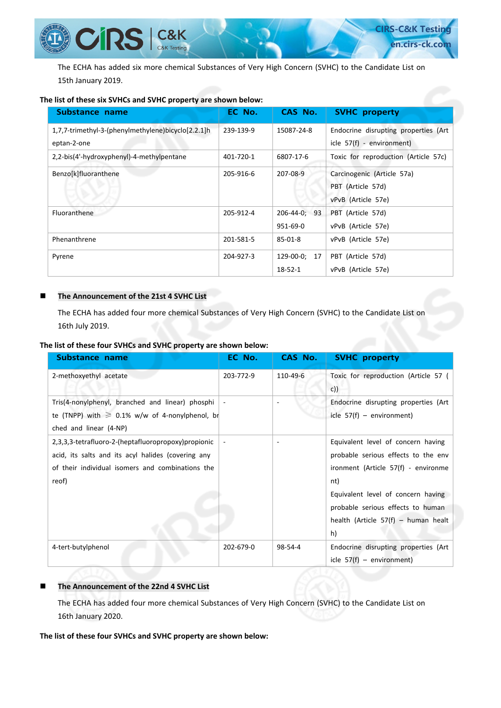The ECHA has added six more chemical Substances of Very High Concern (SVHC) to the Candidate List on 15th January 2019.

#### **The list of these six SVHCs and SVHC property are shown below:**

 $CRS$   $|$  C&K

| Substance name                                     | EC No.    | CAS No.         | <b>SVHC property</b>                 |
|----------------------------------------------------|-----------|-----------------|--------------------------------------|
| 1,7,7-trimethyl-3-(phenylmethylene)bicyclo[2.2.1]h | 239-139-9 | 15087-24-8      | Endocrine disrupting properties (Art |
| eptan-2-one                                        |           |                 | icle 57(f) - environment)            |
| 2,2-bis(4'-hydroxyphenyl)-4-methylpentane          | 401-720-1 | 6807-17-6       | Toxic for reproduction (Article 57c) |
| Benzo[k]fluoranthene                               | 205-916-6 | 207-08-9        | Carcinogenic (Article 57a)           |
|                                                    |           |                 | PBT (Article 57d)                    |
|                                                    |           |                 | vPvB (Article 57e)                   |
| <b>Fluoranthene</b>                                | 205-912-4 | 206-44-0: 93    | PBT (Article 57d)                    |
|                                                    |           | 951-69-0        | vPvB (Article 57e)                   |
| Phenanthrene                                       | 201-581-5 | $85 - 01 - 8$   | vPvB (Article 57e)                   |
| Pyrene                                             | 204-927-3 | 129-00-0;<br>17 | PBT (Article 57d)                    |
|                                                    |           | $18 - 52 - 1$   | vPvB (Article 57e)                   |

#### **The Announcement of the 21st 4 SVHC List**

The ECHA has added four more chemical Substances of Very High Concern (SVHC) to the Candidate List on 16th July 2019.

#### **The list of these four SVHCs and SVHC property are shown below:**

| Substance name                                                                                                                                                          | EC No.    | CAS No.  | <b>SVHC property</b>                                                                                                                                                                                                                              |
|-------------------------------------------------------------------------------------------------------------------------------------------------------------------------|-----------|----------|---------------------------------------------------------------------------------------------------------------------------------------------------------------------------------------------------------------------------------------------------|
| 2-methoxyethyl acetate                                                                                                                                                  | 203-772-9 | 110-49-6 | Toxic for reproduction (Article 57 (<br>c)                                                                                                                                                                                                        |
| Tris(4-nonylphenyl, branched and linear) phosphi<br>te (TNPP) with $\geq 0.1\%$ w/w of 4-nonylphenol, br<br>ched and linear (4-NP)                                      |           |          | Endocrine disrupting properties (Art<br>icle $57(f)$ – environment)                                                                                                                                                                               |
| 2,3,3,3-tetrafluoro-2-(heptafluoropropoxy) propionic<br>acid, its salts and its acyl halides (covering any<br>of their individual isomers and combinations the<br>reof) |           |          | Equivalent level of concern having<br>probable serious effects to the env<br>ironment (Article 57(f) - environme<br>nt)<br>Equivalent level of concern having<br>probable serious effects to human<br>health (Article $57(f)$ – human healt<br>h) |
| 4-tert-butylphenol                                                                                                                                                      | 202-679-0 | 98-54-4  | Endocrine disrupting properties (Art<br>icle $57(f)$ – environment)                                                                                                                                                                               |

#### **The Announcement of the 22nd 4 SVHC List**

The ECHA has added four more chemical Substances of Very High Concern (SVHC) to the Candidate List on 16th January 2020.

#### **The list of these four SVHCs and SVHC property are shown below:**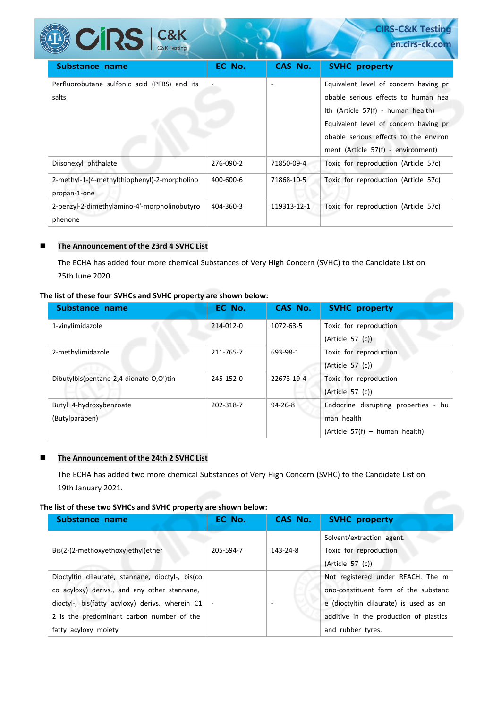| <b>DE COLLECTE CONTRACTE CONTRACTED</b>                      |           |             | en.cirs-ck.com                                                                                                                                                                                                                             |
|--------------------------------------------------------------|-----------|-------------|--------------------------------------------------------------------------------------------------------------------------------------------------------------------------------------------------------------------------------------------|
| Substance name                                               | EC No.    | CAS No.     | <b>SVHC property</b>                                                                                                                                                                                                                       |
| Perfluorobutane sulfonic acid (PFBS) and its<br>salts        |           |             | Equivalent level of concern having pr<br>obable serious effects to human hea<br>Ith (Article 57(f) - human health)<br>Equivalent level of concern having pr<br>obable serious effects to the environ<br>ment (Article 57(f) - environment) |
| Diisohexyl phthalate                                         | 276-090-2 | 71850-09-4  | Toxic for reproduction (Article 57c)                                                                                                                                                                                                       |
| 2-methyl-1-(4-methylthiophenyl)-2-morpholino<br>propan-1-one | 400-600-6 | 71868-10-5  | Toxic for reproduction (Article 57c)                                                                                                                                                                                                       |
| 2-benzyl-2-dimethylamino-4'-morpholinobutyro<br>phenone      | 404-360-3 | 119313-12-1 | Toxic for reproduction (Article 57c)                                                                                                                                                                                                       |

**CIRS-C&K Testing**

#### **The Announcement of the 23rd 4 SVHC List**

PRA

The ECHA has added four more chemical Substances of Very High Concern (SVHC) to the Candidate List on 25th June 2020.

#### **The list of these four SVHCs and SVHC property are shown below:**

| Substance name                            | EC No.    | CAS No.    | <b>SVHC</b> property                                                                 |
|-------------------------------------------|-----------|------------|--------------------------------------------------------------------------------------|
| 1-vinylimidazole                          | 214-012-0 | 1072-63-5  | Toxic for reproduction<br>(Article 57 (c))                                           |
| 2-methylimidazole                         | 211-765-7 | 693-98-1   | Toxic for reproduction<br>(Article 57 (c))                                           |
| Dibutylbis(pentane-2,4-dionato-O,O')tin   | 245-152-0 | 22673-19-4 | Toxic for reproduction<br>(Article 57 (c))                                           |
| Butyl 4-hydroxybenzoate<br>(Butylparaben) | 202-318-7 | 94-26-8    | Endocrine disrupting properties - hu<br>man health<br>(Article 57(f) – human health) |

#### **The Announcement of the 24th 2 SVHC List**

The ECHA has added two more chemical Substances of Very High Concern (SVHC) to the Candidate List on 19th January 2021.

#### **The list of these two SVHCs and SVHC property are shown below:**

| Substance name                                                                                   | EC No.    | CAS No.  | <b>SVHC</b> property                                                                          |
|--------------------------------------------------------------------------------------------------|-----------|----------|-----------------------------------------------------------------------------------------------|
| Bis(2-(2-methoxyethoxy)ethyl)ether                                                               | 205-594-7 | 143-24-8 | Solvent/extraction agent.<br>Toxic for reproduction                                           |
| Dioctyltin dilaurate, stannane, dioctyl-, bis(co<br>co acyloxy) derivs., and any other stannane, |           |          | (Article 57 (c))<br>Not registered under REACH. The m<br>ono-constituent form of the substanc |
| dioctyl-, bis(fatty acyloxy) derivs. wherein C1<br>2 is the predominant carbon number of the     |           |          | e (dioctyltin dilaurate) is used as an<br>additive in the production of plastics              |
| fatty acyloxy moiety                                                                             |           |          | and rubber tyres.                                                                             |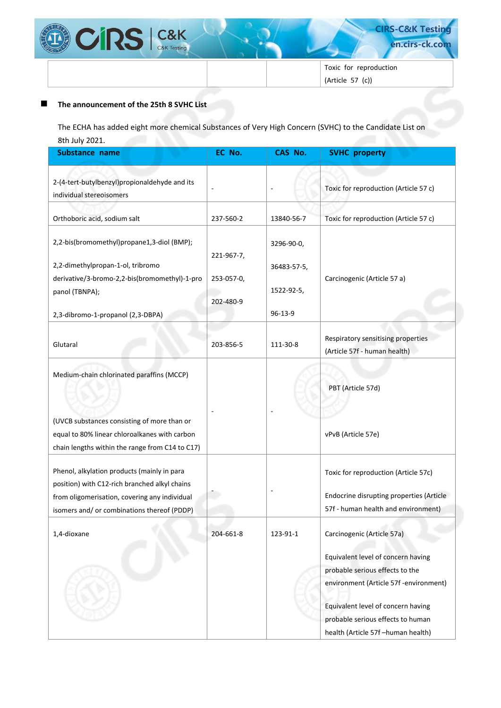

**CIRS-C&K Testing en.cirs-ck.com** 

Toxic for reproduction (Article 57 (c))

#### **The announcement of the 25th 8 SVHC List**

The ECHA has added eight more chemical Substances of Very High Concern (SVHC) to the Candidate List on 8th July 2021.

| Substance name                                                                                                                                                                               | EC No.                                | CAS No.                                 | <b>SVHC</b> property                                                                                                                                                                                                                                           |
|----------------------------------------------------------------------------------------------------------------------------------------------------------------------------------------------|---------------------------------------|-----------------------------------------|----------------------------------------------------------------------------------------------------------------------------------------------------------------------------------------------------------------------------------------------------------------|
| 2-(4-tert-butylbenzyl)propionaldehyde and its<br>individual stereoisomers                                                                                                                    |                                       |                                         | Toxic for reproduction (Article 57 c)                                                                                                                                                                                                                          |
| Orthoboric acid, sodium salt                                                                                                                                                                 | 237-560-2                             | 13840-56-7                              | Toxic for reproduction (Article 57 c)                                                                                                                                                                                                                          |
| 2,2-bis(bromomethyl)propane1,3-diol (BMP);<br>2,2-dimethylpropan-1-ol, tribromo<br>derivative/3-bromo-2,2-bis(bromomethyl)-1-pro<br>panol (TBNPA);                                           | 221-967-7,<br>253-057-0,<br>202-480-9 | 3296-90-0,<br>36483-57-5,<br>1522-92-5, | Carcinogenic (Article 57 a)                                                                                                                                                                                                                                    |
| 2,3-dibromo-1-propanol (2,3-DBPA)                                                                                                                                                            |                                       | $96 - 13 - 9$                           |                                                                                                                                                                                                                                                                |
| Glutaral                                                                                                                                                                                     | 203-856-5                             | 111-30-8                                | Respiratory sensitising properties<br>(Article 57f - human health)                                                                                                                                                                                             |
| Medium-chain chlorinated paraffins (MCCP)<br>(UVCB substances consisting of more than or<br>equal to 80% linear chloroalkanes with carbon<br>chain lengths within the range from C14 to C17) |                                       |                                         | PBT (Article 57d)<br>vPvB (Article 57e)                                                                                                                                                                                                                        |
| Phenol, alkylation products (mainly in para<br>position) with C12-rich branched alkyl chains<br>from oligomerisation, covering any individual<br>isomers and/ or combinations thereof (PDDP) |                                       |                                         | Toxic for reproduction (Article 57c)<br>Endocrine disrupting properties (Article<br>57f - human health and environment)                                                                                                                                        |
| 1,4-dioxane                                                                                                                                                                                  | 204-661-8                             | 123-91-1                                | Carcinogenic (Article 57a)<br>Equivalent level of concern having<br>probable serious effects to the<br>environment (Article 57f -environment)<br>Equivalent level of concern having<br>probable serious effects to human<br>health (Article 57f -human health) |